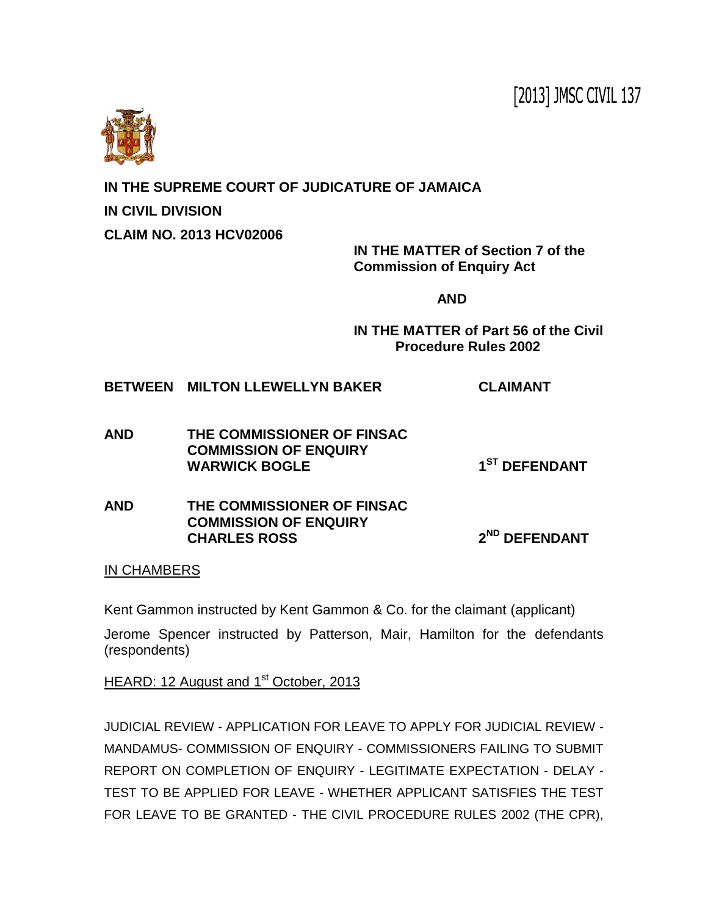[2013] JMSC CIVIL 137



**IN THE SUPREME COURT OF JUDICATURE OF JAMAICA**

**IN CIVIL DIVISION**

**CLAIM NO. 2013 HCV02006**

**IN THE MATTER of Section 7 of the Commission of Enquiry Act** 

**AND**

**IN THE MATTER of Part 56 of the Civil Procedure Rules 2002**

**BETWEEN MILTON LLEWELLYN BAKER CLAIMANT**

- **AND THE COMMISSIONER OF FINSAC COMMISSION OF ENQUIRY WARWICK BOGLE 1 ST DEFENDANT**
- **AND THE COMMISSIONER OF FINSAC COMMISSION OF ENQUIRY CHARLES ROSS 2 ND DEFENDANT**

IN CHAMBERS

Kent Gammon instructed by Kent Gammon & Co. for the claimant (applicant)

Jerome Spencer instructed by Patterson, Mair, Hamilton for the defendants (respondents)

HEARD: 12 August and 1<sup>st</sup> October, 2013

JUDICIAL REVIEW - APPLICATION FOR LEAVE TO APPLY FOR JUDICIAL REVIEW - MANDAMUS- COMMISSION OF ENQUIRY - COMMISSIONERS FAILING TO SUBMIT REPORT ON COMPLETION OF ENQUIRY - LEGITIMATE EXPECTATION - DELAY - TEST TO BE APPLIED FOR LEAVE - WHETHER APPLICANT SATISFIES THE TEST FOR LEAVE TO BE GRANTED - THE CIVIL PROCEDURE RULES 2002 (THE CPR),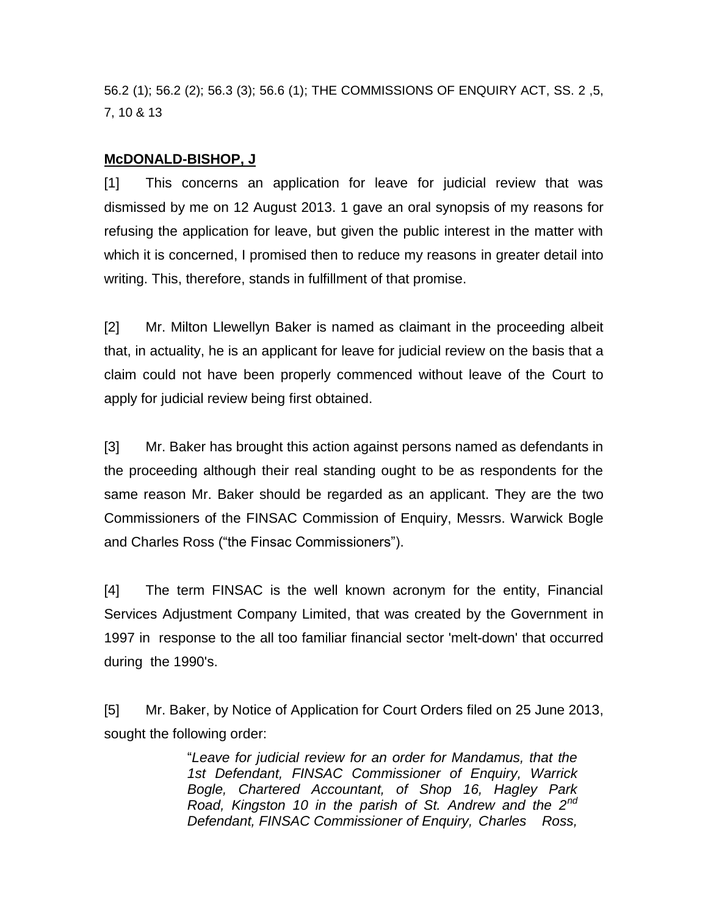56.2 (1); 56.2 (2); 56.3 (3); 56.6 (1); THE COMMISSIONS OF ENQUIRY ACT, SS. 2 ,5, 7, 10 & 13

## **McDONALD-BISHOP, J**

[1] This concerns an application for leave for judicial review that was dismissed by me on 12 August 2013. 1 gave an oral synopsis of my reasons for refusing the application for leave, but given the public interest in the matter with which it is concerned, I promised then to reduce my reasons in greater detail into writing. This, therefore, stands in fulfillment of that promise.

[2] Mr. Milton Llewellyn Baker is named as claimant in the proceeding albeit that, in actuality, he is an applicant for leave for judicial review on the basis that a claim could not have been properly commenced without leave of the Court to apply for judicial review being first obtained.

[3] Mr. Baker has brought this action against persons named as defendants in the proceeding although their real standing ought to be as respondents for the same reason Mr. Baker should be regarded as an applicant. They are the two Commissioners of the FINSAC Commission of Enquiry, Messrs. Warwick Bogle and Charles Ross ("the Finsac Commissioners").

[4] The term FINSAC is the well known acronym for the entity, Financial Services Adjustment Company Limited, that was created by the Government in 1997 in response to the all too familiar financial sector 'melt-down' that occurred during the 1990's.

[5] Mr. Baker, by Notice of Application for Court Orders filed on 25 June 2013, sought the following order:

> "*Leave for judicial review for an order for Mandamus, that the 1st Defendant, FINSAC Commissioner of Enquiry, Warrick Bogle, Chartered Accountant, of Shop 16, Hagley Park Road, Kingston 10 in the parish of St. Andrew and the 2nd Defendant, FINSAC Commissioner of Enquiry, Charles Ross,*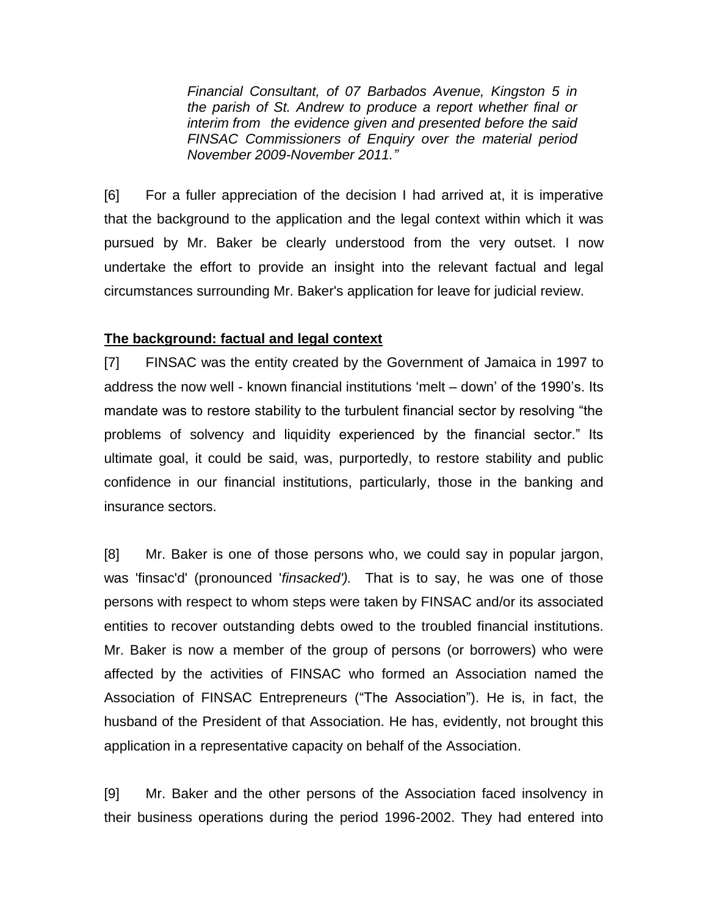*Financial Consultant, of 07 Barbados Avenue, Kingston 5 in the parish of St. Andrew to produce a report whether final or interim from the evidence given and presented before the said FINSAC Commissioners of Enquiry over the material period November 2009-November 2011."* 

[6] For a fuller appreciation of the decision I had arrived at, it is imperative that the background to the application and the legal context within which it was pursued by Mr. Baker be clearly understood from the very outset. I now undertake the effort to provide an insight into the relevant factual and legal circumstances surrounding Mr. Baker's application for leave for judicial review.

## **The background: factual and legal context**

[7] FINSAC was the entity created by the Government of Jamaica in 1997 to address the now well - known financial institutions 'melt – down' of the 1990's. Its mandate was to restore stability to the turbulent financial sector by resolving "the problems of solvency and liquidity experienced by the financial sector." Its ultimate goal, it could be said, was, purportedly, to restore stability and public confidence in our financial institutions, particularly, those in the banking and insurance sectors.

[8] Mr. Baker is one of those persons who, we could say in popular jargon, was 'finsac'd' (pronounced '*finsacked').* That is to say, he was one of those persons with respect to whom steps were taken by FINSAC and/or its associated entities to recover outstanding debts owed to the troubled financial institutions. Mr. Baker is now a member of the group of persons (or borrowers) who were affected by the activities of FINSAC who formed an Association named the Association of FINSAC Entrepreneurs ("The Association"). He is, in fact, the husband of the President of that Association. He has, evidently, not brought this application in a representative capacity on behalf of the Association.

[9] Mr. Baker and the other persons of the Association faced insolvency in their business operations during the period 1996-2002. They had entered into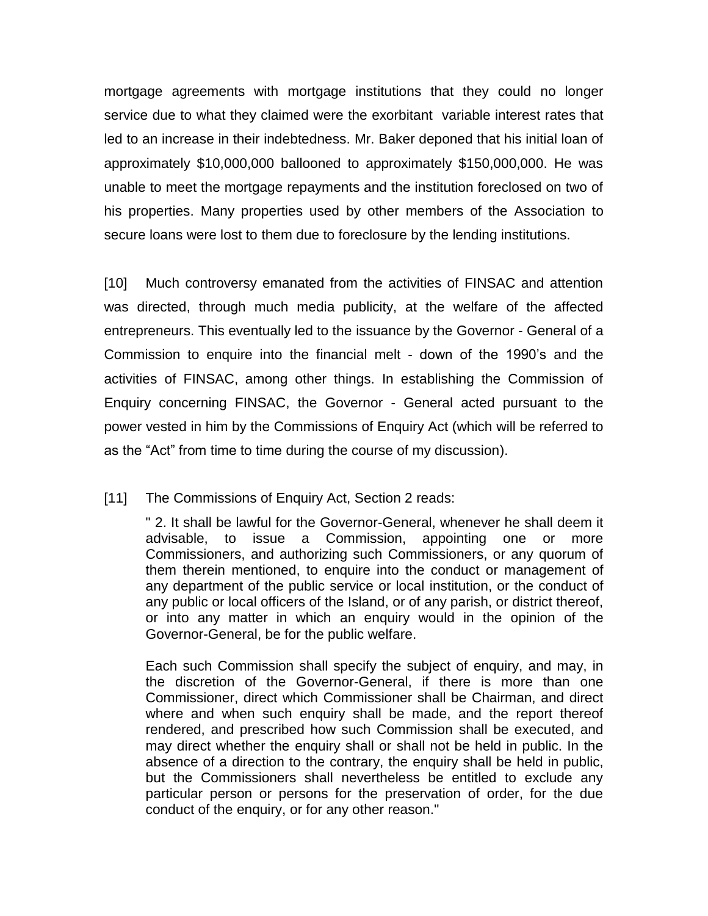mortgage agreements with mortgage institutions that they could no longer service due to what they claimed were the exorbitant variable interest rates that led to an increase in their indebtedness. Mr. Baker deponed that his initial loan of approximately \$10,000,000 ballooned to approximately \$150,000,000. He was unable to meet the mortgage repayments and the institution foreclosed on two of his properties. Many properties used by other members of the Association to secure loans were lost to them due to foreclosure by the lending institutions.

[10] Much controversy emanated from the activities of FINSAC and attention was directed, through much media publicity, at the welfare of the affected entrepreneurs. This eventually led to the issuance by the Governor - General of a Commission to enquire into the financial melt - down of the 1990's and the activities of FINSAC, among other things. In establishing the Commission of Enquiry concerning FINSAC, the Governor - General acted pursuant to the power vested in him by the Commissions of Enquiry Act (which will be referred to as the "Act" from time to time during the course of my discussion).

## [11] The Commissions of Enquiry Act, Section 2 reads:

" 2. It shall be lawful for the Governor-General, whenever he shall deem it advisable, to issue a Commission, appointing one or more Commissioners, and authorizing such Commissioners, or any quorum of them therein mentioned, to enquire into the conduct or management of any department of the public service or local institution, or the conduct of any public or local officers of the Island, or of any parish, or district thereof, or into any matter in which an enquiry would in the opinion of the Governor-General, be for the public welfare.

Each such Commission shall specify the subject of enquiry, and may, in the discretion of the Governor-General, if there is more than one Commissioner, direct which Commissioner shall be Chairman, and direct where and when such enquiry shall be made, and the report thereof rendered, and prescribed how such Commission shall be executed, and may direct whether the enquiry shall or shall not be held in public. In the absence of a direction to the contrary, the enquiry shall be held in public, but the Commissioners shall nevertheless be entitled to exclude any particular person or persons for the preservation of order, for the due conduct of the enquiry, or for any other reason."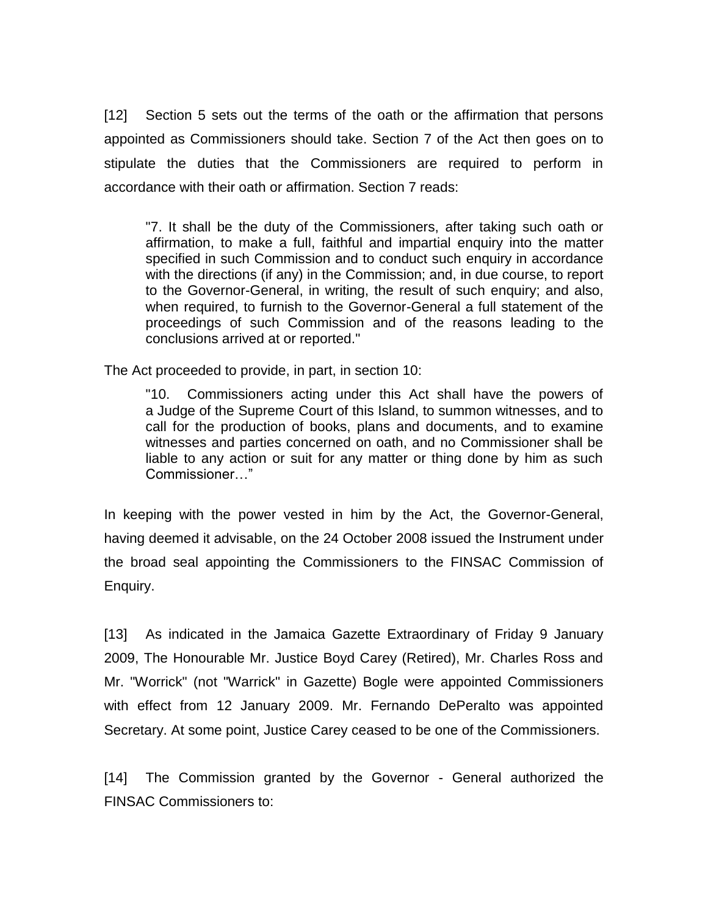[12] Section 5 sets out the terms of the oath or the affirmation that persons appointed as Commissioners should take. Section 7 of the Act then goes on to stipulate the duties that the Commissioners are required to perform in accordance with their oath or affirmation. Section 7 reads:

"7. It shall be the duty of the Commissioners, after taking such oath or affirmation, to make a full, faithful and impartial enquiry into the matter specified in such Commission and to conduct such enquiry in accordance with the directions (if any) in the Commission; and, in due course, to report to the Governor-General, in writing, the result of such enquiry; and also, when required, to furnish to the Governor-General a full statement of the proceedings of such Commission and of the reasons leading to the conclusions arrived at or reported."

The Act proceeded to provide, in part, in section 10:

"10. Commissioners acting under this Act shall have the powers of a Judge of the Supreme Court of this Island, to summon witnesses, and to call for the production of books, plans and documents, and to examine witnesses and parties concerned on oath, and no Commissioner shall be liable to any action or suit for any matter or thing done by him as such Commissioner…"

In keeping with the power vested in him by the Act, the Governor-General, having deemed it advisable, on the 24 October 2008 issued the Instrument under the broad seal appointing the Commissioners to the FINSAC Commission of Enquiry.

[13] As indicated in the Jamaica Gazette Extraordinary of Friday 9 January 2009, The Honourable Mr. Justice Boyd Carey (Retired), Mr. Charles Ross and Mr. "Worrick" (not "Warrick" in Gazette) Bogle were appointed Commissioners with effect from 12 January 2009. Mr. Fernando DePeralto was appointed Secretary. At some point, Justice Carey ceased to be one of the Commissioners.

[14] The Commission granted by the Governor - General authorized the FINSAC Commissioners to: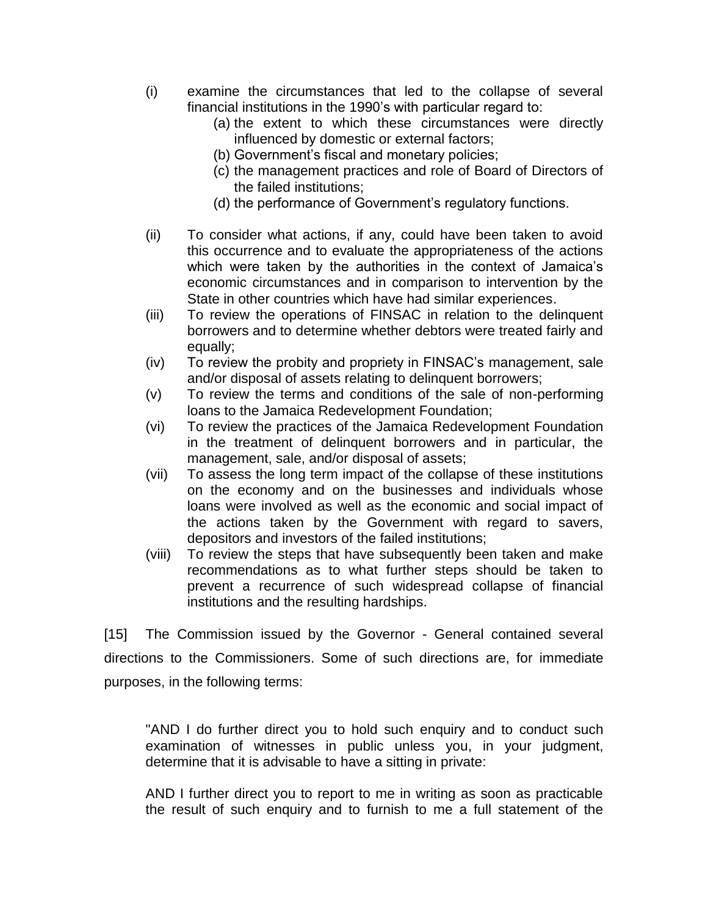- (i) examine the circumstances that led to the collapse of several financial institutions in the 1990's with particular regard to:
	- (a) the extent to which these circumstances were directly influenced by domestic or external factors;
	- (b) Government's fiscal and monetary policies;
	- (c) the management practices and role of Board of Directors of the failed institutions;
	- (d) the performance of Government's regulatory functions.
- (ii) To consider what actions, if any, could have been taken to avoid this occurrence and to evaluate the appropriateness of the actions which were taken by the authorities in the context of Jamaica's economic circumstances and in comparison to intervention by the State in other countries which have had similar experiences.
- (iii) To review the operations of FINSAC in relation to the delinquent borrowers and to determine whether debtors were treated fairly and equally;
- (iv) To review the probity and propriety in FINSAC's management, sale and/or disposal of assets relating to delinquent borrowers;
- (v) To review the terms and conditions of the sale of non-performing loans to the Jamaica Redevelopment Foundation;
- (vi) To review the practices of the Jamaica Redevelopment Foundation in the treatment of delinquent borrowers and in particular, the management, sale, and/or disposal of assets;
- (vii) To assess the long term impact of the collapse of these institutions on the economy and on the businesses and individuals whose loans were involved as well as the economic and social impact of the actions taken by the Government with regard to savers, depositors and investors of the failed institutions;
- (viii) To review the steps that have subsequently been taken and make recommendations as to what further steps should be taken to prevent a recurrence of such widespread collapse of financial institutions and the resulting hardships.

[15] The Commission issued by the Governor - General contained several directions to the Commissioners. Some of such directions are, for immediate purposes, in the following terms:

"AND I do further direct you to hold such enquiry and to conduct such examination of witnesses in public unless you, in your judgment, determine that it is advisable to have a sitting in private:

AND I further direct you to report to me in writing as soon as practicable the result of such enquiry and to furnish to me a full statement of the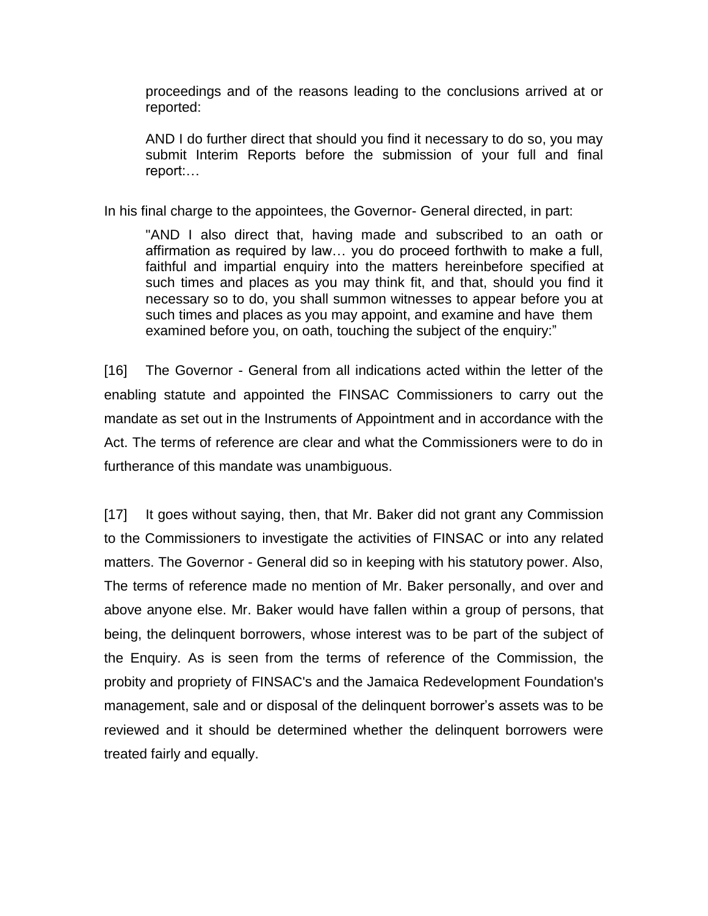proceedings and of the reasons leading to the conclusions arrived at or reported:

AND I do further direct that should you find it necessary to do so, you may submit Interim Reports before the submission of your full and final report:…

In his final charge to the appointees, the Governor- General directed, in part:

"AND I also direct that, having made and subscribed to an oath or affirmation as required by law… you do proceed forthwith to make a full, faithful and impartial enquiry into the matters hereinbefore specified at such times and places as you may think fit, and that, should you find it necessary so to do, you shall summon witnesses to appear before you at such times and places as you may appoint, and examine and have them examined before you, on oath, touching the subject of the enquiry:"

[16] The Governor - General from all indications acted within the letter of the enabling statute and appointed the FINSAC Commissioners to carry out the mandate as set out in the Instruments of Appointment and in accordance with the Act. The terms of reference are clear and what the Commissioners were to do in furtherance of this mandate was unambiguous.

[17] It goes without saying, then, that Mr. Baker did not grant any Commission to the Commissioners to investigate the activities of FINSAC or into any related matters. The Governor - General did so in keeping with his statutory power. Also, The terms of reference made no mention of Mr. Baker personally, and over and above anyone else. Mr. Baker would have fallen within a group of persons, that being, the delinquent borrowers, whose interest was to be part of the subject of the Enquiry. As is seen from the terms of reference of the Commission, the probity and propriety of FINSAC's and the Jamaica Redevelopment Foundation's management, sale and or disposal of the delinquent borrower's assets was to be reviewed and it should be determined whether the delinquent borrowers were treated fairly and equally.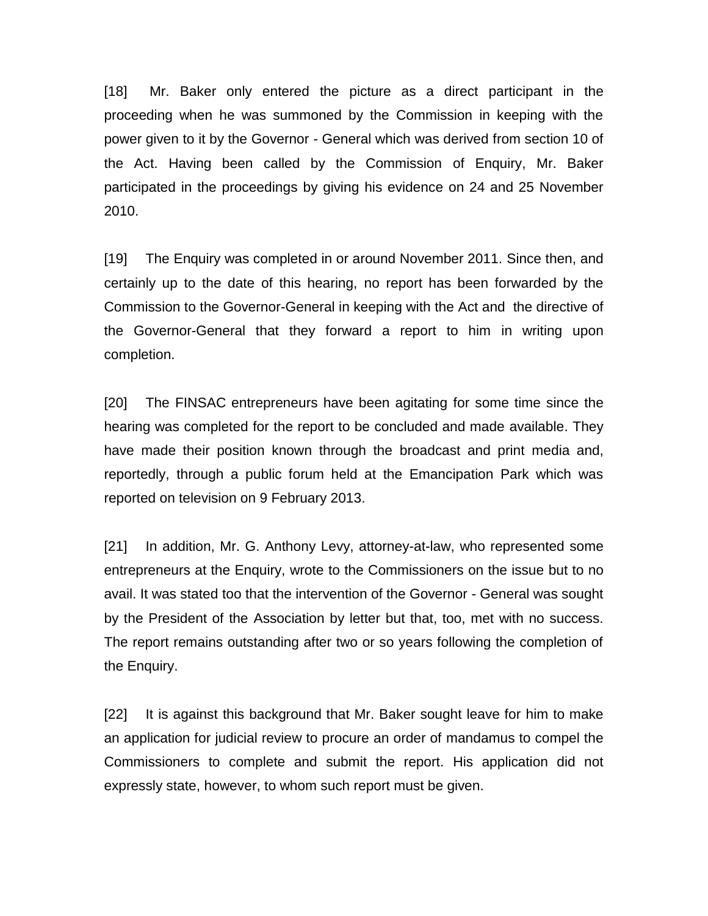[18] Mr. Baker only entered the picture as a direct participant in the proceeding when he was summoned by the Commission in keeping with the power given to it by the Governor - General which was derived from section 10 of the Act. Having been called by the Commission of Enquiry, Mr. Baker participated in the proceedings by giving his evidence on 24 and 25 November 2010.

[19] The Enquiry was completed in or around November 2011. Since then, and certainly up to the date of this hearing, no report has been forwarded by the Commission to the Governor-General in keeping with the Act and the directive of the Governor-General that they forward a report to him in writing upon completion.

[20] The FINSAC entrepreneurs have been agitating for some time since the hearing was completed for the report to be concluded and made available. They have made their position known through the broadcast and print media and, reportedly, through a public forum held at the Emancipation Park which was reported on television on 9 February 2013.

[21] In addition, Mr. G. Anthony Levy, attorney-at-law, who represented some entrepreneurs at the Enquiry, wrote to the Commissioners on the issue but to no avail. It was stated too that the intervention of the Governor - General was sought by the President of the Association by letter but that, too, met with no success. The report remains outstanding after two or so years following the completion of the Enquiry.

[22] It is against this background that Mr. Baker sought leave for him to make an application for judicial review to procure an order of mandamus to compel the Commissioners to complete and submit the report. His application did not expressly state, however, to whom such report must be given.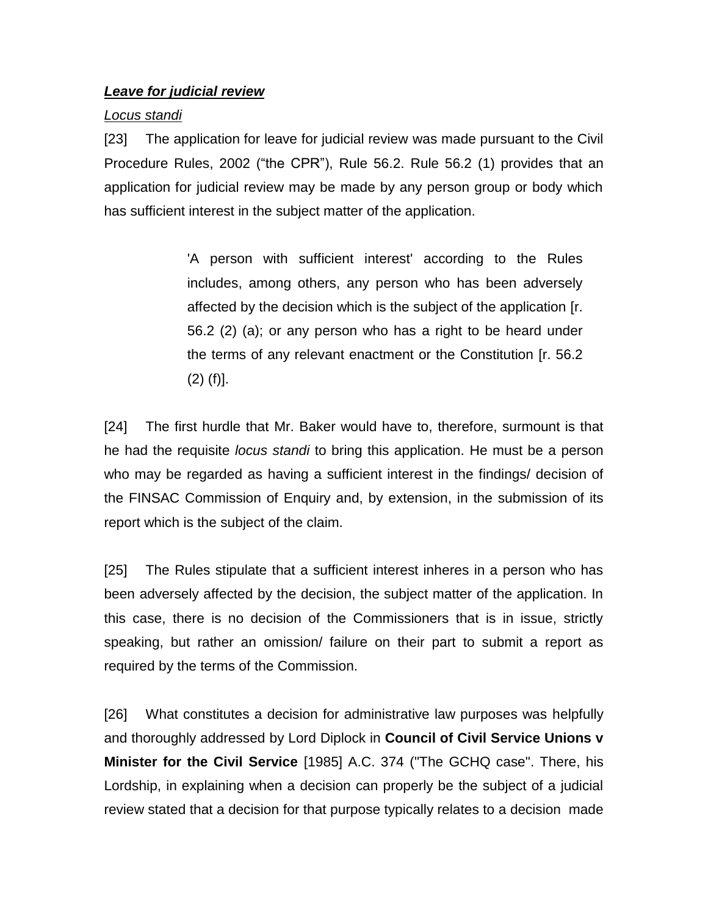## *Leave for judicial review*

# *Locus standi*

[23] The application for leave for judicial review was made pursuant to the Civil Procedure Rules, 2002 ("the CPR"), Rule 56.2. Rule 56.2 (1) provides that an application for judicial review may be made by any person group or body which has sufficient interest in the subject matter of the application.

> 'A person with sufficient interest' according to the Rules includes, among others, any person who has been adversely affected by the decision which is the subject of the application [r. 56.2 (2) (a); or any person who has a right to be heard under the terms of any relevant enactment or the Constitution [r. 56.2 (2) (f)].

[24] The first hurdle that Mr. Baker would have to, therefore, surmount is that he had the requisite *locus standi* to bring this application. He must be a person who may be regarded as having a sufficient interest in the findings/ decision of the FINSAC Commission of Enquiry and, by extension, in the submission of its report which is the subject of the claim.

[25] The Rules stipulate that a sufficient interest inheres in a person who has been adversely affected by the decision, the subject matter of the application. In this case, there is no decision of the Commissioners that is in issue, strictly speaking, but rather an omission/ failure on their part to submit a report as required by the terms of the Commission.

[26] What constitutes a decision for administrative law purposes was helpfully and thoroughly addressed by Lord Diplock in **Council of Civil Service Unions v Minister for the Civil Service** [1985] A.C. 374 ("The GCHQ case". There, his Lordship, in explaining when a decision can properly be the subject of a judicial review stated that a decision for that purpose typically relates to a decision made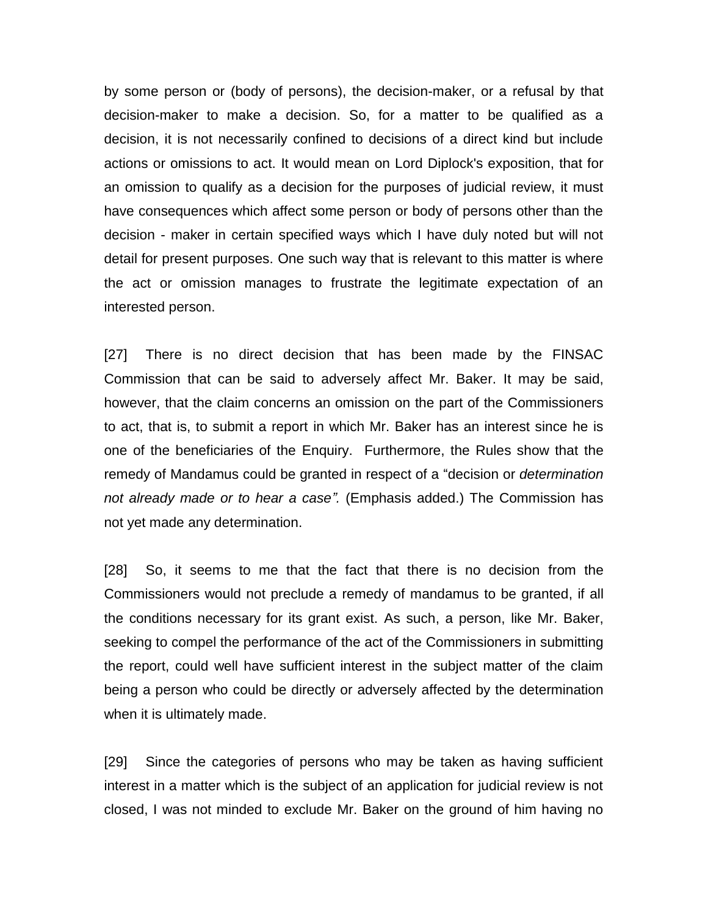by some person or (body of persons), the decision-maker, or a refusal by that decision-maker to make a decision. So, for a matter to be qualified as a decision, it is not necessarily confined to decisions of a direct kind but include actions or omissions to act. It would mean on Lord Diplock's exposition, that for an omission to qualify as a decision for the purposes of judicial review, it must have consequences which affect some person or body of persons other than the decision - maker in certain specified ways which I have duly noted but will not detail for present purposes. One such way that is relevant to this matter is where the act or omission manages to frustrate the legitimate expectation of an interested person.

[27] There is no direct decision that has been made by the FINSAC Commission that can be said to adversely affect Mr. Baker. It may be said, however, that the claim concerns an omission on the part of the Commissioners to act, that is, to submit a report in which Mr. Baker has an interest since he is one of the beneficiaries of the Enquiry. Furthermore, the Rules show that the remedy of Mandamus could be granted in respect of a "decision or *determination not already made or to hear a case".* (Emphasis added.) The Commission has not yet made any determination.

[28] So, it seems to me that the fact that there is no decision from the Commissioners would not preclude a remedy of mandamus to be granted, if all the conditions necessary for its grant exist. As such, a person, like Mr. Baker, seeking to compel the performance of the act of the Commissioners in submitting the report, could well have sufficient interest in the subject matter of the claim being a person who could be directly or adversely affected by the determination when it is ultimately made.

[29] Since the categories of persons who may be taken as having sufficient interest in a matter which is the subject of an application for judicial review is not closed, I was not minded to exclude Mr. Baker on the ground of him having no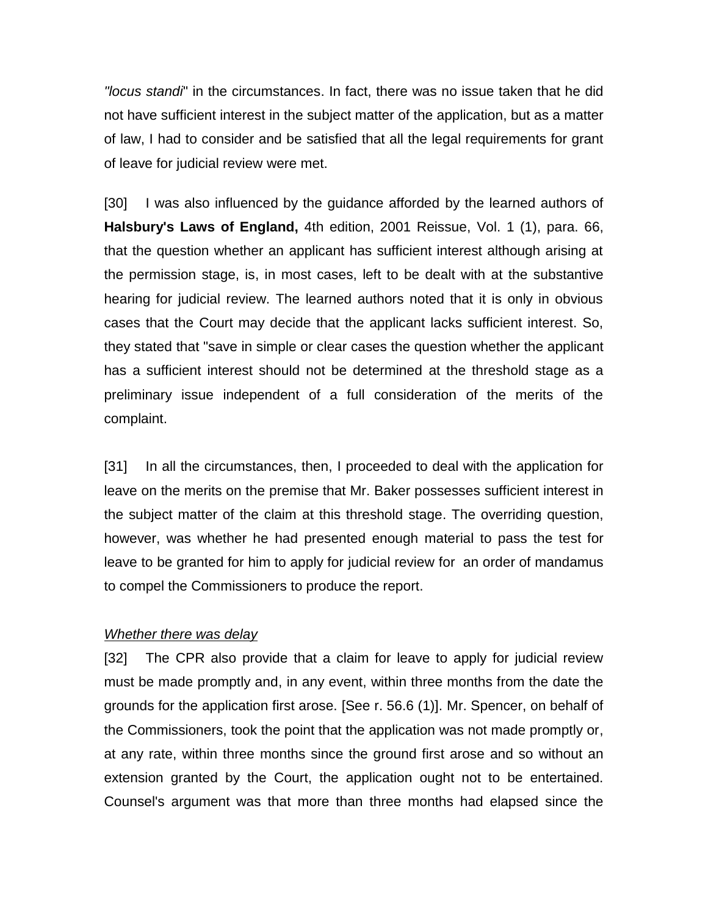*"locus standi*" in the circumstances. In fact, there was no issue taken that he did not have sufficient interest in the subject matter of the application, but as a matter of law, I had to consider and be satisfied that all the legal requirements for grant of leave for judicial review were met.

[30] I was also influenced by the guidance afforded by the learned authors of **Halsbury's Laws of England,** 4th edition, 2001 Reissue, Vol. 1 (1), para. 66, that the question whether an applicant has sufficient interest although arising at the permission stage, is, in most cases, left to be dealt with at the substantive hearing for judicial review. The learned authors noted that it is only in obvious cases that the Court may decide that the applicant lacks sufficient interest. So, they stated that "save in simple or clear cases the question whether the applicant has a sufficient interest should not be determined at the threshold stage as a preliminary issue independent of a full consideration of the merits of the complaint.

[31] In all the circumstances, then, I proceeded to deal with the application for leave on the merits on the premise that Mr. Baker possesses sufficient interest in the subject matter of the claim at this threshold stage. The overriding question, however, was whether he had presented enough material to pass the test for leave to be granted for him to apply for judicial review for an order of mandamus to compel the Commissioners to produce the report.

#### *Whether there was delay*

[32] The CPR also provide that a claim for leave to apply for judicial review must be made promptly and, in any event, within three months from the date the grounds for the application first arose. [See r. 56.6 (1)]. Mr. Spencer, on behalf of the Commissioners, took the point that the application was not made promptly or, at any rate, within three months since the ground first arose and so without an extension granted by the Court, the application ought not to be entertained. Counsel's argument was that more than three months had elapsed since the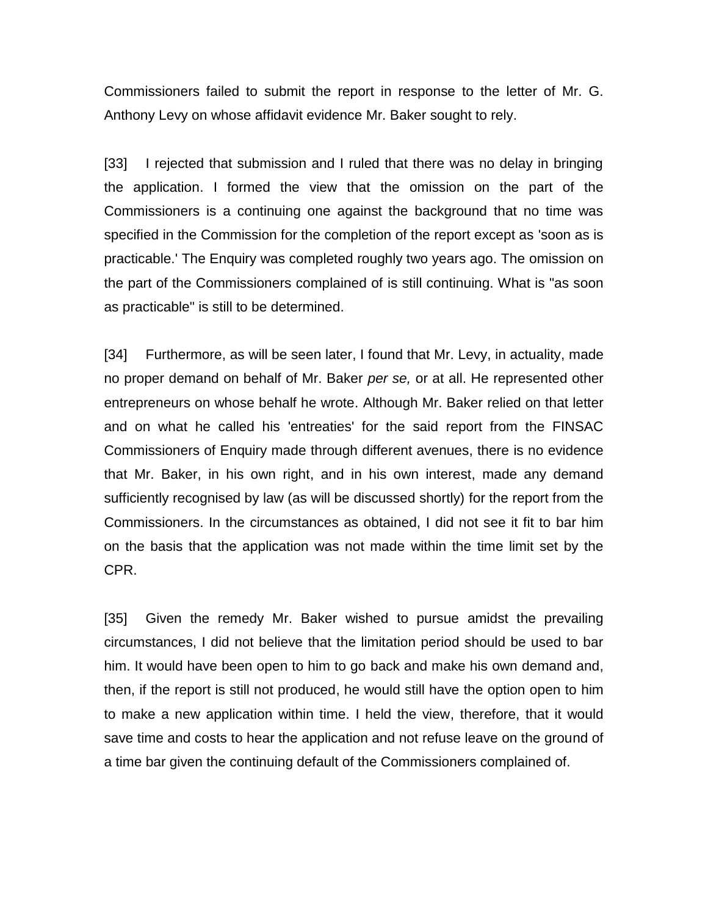Commissioners failed to submit the report in response to the letter of Mr. G. Anthony Levy on whose affidavit evidence Mr. Baker sought to rely.

[33] I rejected that submission and I ruled that there was no delay in bringing the application. I formed the view that the omission on the part of the Commissioners is a continuing one against the background that no time was specified in the Commission for the completion of the report except as 'soon as is practicable.' The Enquiry was completed roughly two years ago. The omission on the part of the Commissioners complained of is still continuing. What is "as soon as practicable" is still to be determined.

[34] Furthermore, as will be seen later, I found that Mr. Levy, in actuality, made no proper demand on behalf of Mr. Baker *per se,* or at all. He represented other entrepreneurs on whose behalf he wrote. Although Mr. Baker relied on that letter and on what he called his 'entreaties' for the said report from the FINSAC Commissioners of Enquiry made through different avenues, there is no evidence that Mr. Baker, in his own right, and in his own interest, made any demand sufficiently recognised by law (as will be discussed shortly) for the report from the Commissioners. In the circumstances as obtained, I did not see it fit to bar him on the basis that the application was not made within the time limit set by the CPR.

[35] Given the remedy Mr. Baker wished to pursue amidst the prevailing circumstances, I did not believe that the limitation period should be used to bar him. It would have been open to him to go back and make his own demand and, then, if the report is still not produced, he would still have the option open to him to make a new application within time. I held the view, therefore, that it would save time and costs to hear the application and not refuse leave on the ground of a time bar given the continuing default of the Commissioners complained of.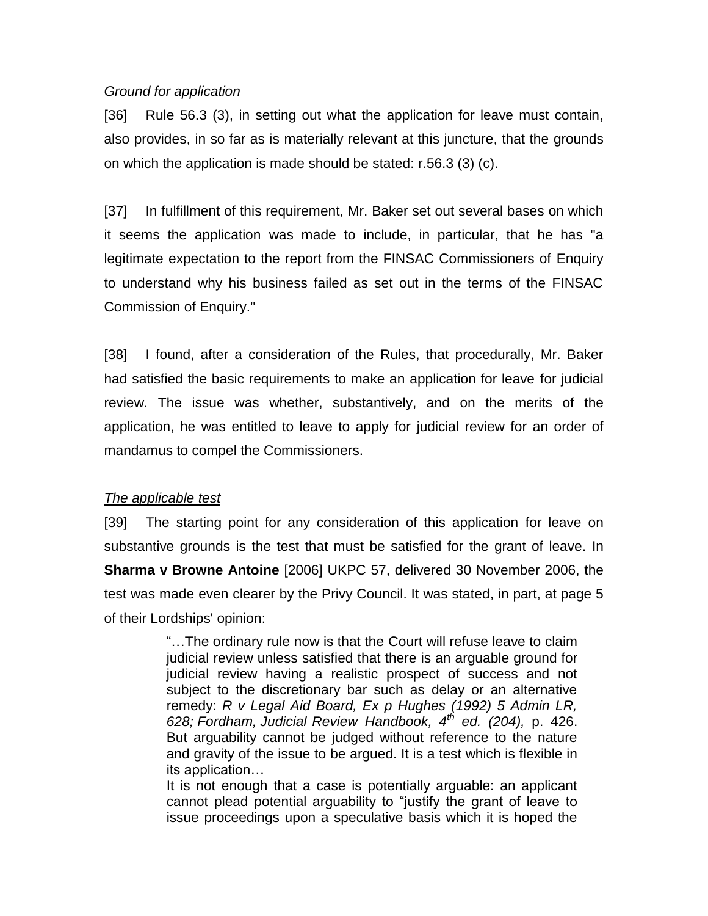#### *Ground for application*

[36] Rule 56.3 (3), in setting out what the application for leave must contain, also provides, in so far as is materially relevant at this juncture, that the grounds on which the application is made should be stated: r.56.3 (3) (c).

[37] In fulfillment of this requirement, Mr. Baker set out several bases on which it seems the application was made to include, in particular, that he has "a legitimate expectation to the report from the FINSAC Commissioners of Enquiry to understand why his business failed as set out in the terms of the FINSAC Commission of Enquiry."

[38] I found, after a consideration of the Rules, that procedurally, Mr. Baker had satisfied the basic requirements to make an application for leave for judicial review. The issue was whether, substantively, and on the merits of the application, he was entitled to leave to apply for judicial review for an order of mandamus to compel the Commissioners.

## *The applicable test*

[39] The starting point for any consideration of this application for leave on substantive grounds is the test that must be satisfied for the grant of leave. In **Sharma v Browne Antoine** [2006] UKPC 57, delivered 30 November 2006, the test was made even clearer by the Privy Council. It was stated, in part, at page 5 of their Lordships' opinion:

> "…The ordinary rule now is that the Court will refuse leave to claim judicial review unless satisfied that there is an arguable ground for judicial review having a realistic prospect of success and not subject to the discretionary bar such as delay or an alternative remedy: *R v Legal Aid Board, Ex p Hughes (1992) 5 Admin LR, 628; Fordham, Judicial Review Handbook, 4th ed. (204),* p. 426. But arguability cannot be judged without reference to the nature and gravity of the issue to be argued. It is a test which is flexible in its application…

> It is not enough that a case is potentially arguable: an applicant cannot plead potential arguability to "justify the grant of leave to issue proceedings upon a speculative basis which it is hoped the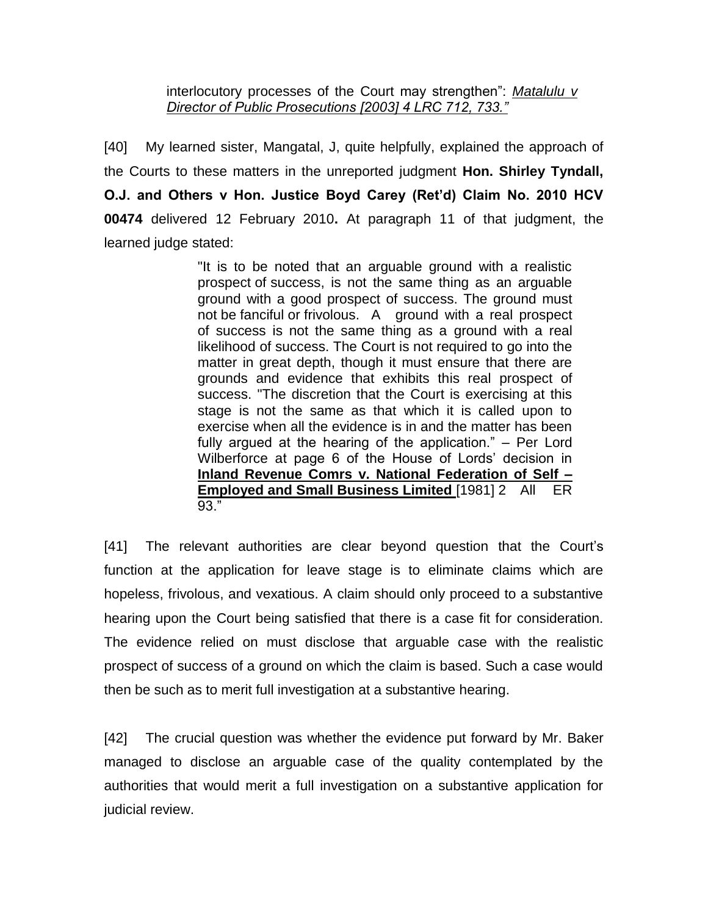interlocutory processes of the Court may strengthen": *Matalulu v Director of Public Prosecutions [2003] 4 LRC 712, 733."*

[40] My learned sister, Mangatal, J, quite helpfully, explained the approach of the Courts to these matters in the unreported judgment **Hon. Shirley Tyndall, O.J. and Others v Hon. Justice Boyd Carey (Ret'd) Claim No. 2010 HCV 00474** delivered 12 February 2010**.** At paragraph 11 of that judgment, the learned judge stated:

> "It is to be noted that an arguable ground with a realistic prospect of success, is not the same thing as an arguable ground with a good prospect of success. The ground must not be fanciful or frivolous. A ground with a real prospect of success is not the same thing as a ground with a real likelihood of success. The Court is not required to go into the matter in great depth, though it must ensure that there are grounds and evidence that exhibits this real prospect of success. "The discretion that the Court is exercising at this stage is not the same as that which it is called upon to exercise when all the evidence is in and the matter has been fully argued at the hearing of the application." – Per Lord Wilberforce at page 6 of the House of Lords' decision in **Inland Revenue Comrs v. National Federation of Self – Employed and Small Business Limited** [1981] 2 All ER 93."

[41] The relevant authorities are clear beyond question that the Court's function at the application for leave stage is to eliminate claims which are hopeless, frivolous, and vexatious. A claim should only proceed to a substantive hearing upon the Court being satisfied that there is a case fit for consideration. The evidence relied on must disclose that arguable case with the realistic prospect of success of a ground on which the claim is based. Such a case would then be such as to merit full investigation at a substantive hearing.

[42] The crucial question was whether the evidence put forward by Mr. Baker managed to disclose an arguable case of the quality contemplated by the authorities that would merit a full investigation on a substantive application for judicial review.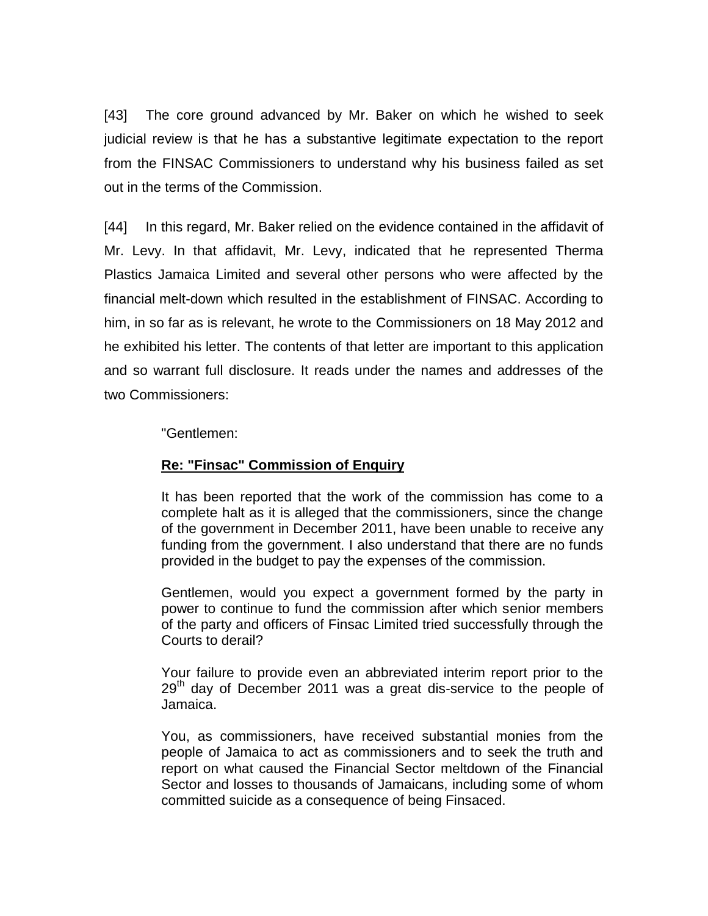[43] The core ground advanced by Mr. Baker on which he wished to seek judicial review is that he has a substantive legitimate expectation to the report from the FINSAC Commissioners to understand why his business failed as set out in the terms of the Commission.

[44] In this regard, Mr. Baker relied on the evidence contained in the affidavit of Mr. Levy. In that affidavit, Mr. Levy, indicated that he represented Therma Plastics Jamaica Limited and several other persons who were affected by the financial melt-down which resulted in the establishment of FINSAC. According to him, in so far as is relevant, he wrote to the Commissioners on 18 May 2012 and he exhibited his letter. The contents of that letter are important to this application and so warrant full disclosure. It reads under the names and addresses of the two Commissioners:

#### "Gentlemen:

## **Re: "Finsac" Commission of Enquiry**

It has been reported that the work of the commission has come to a complete halt as it is alleged that the commissioners, since the change of the government in December 2011, have been unable to receive any funding from the government. I also understand that there are no funds provided in the budget to pay the expenses of the commission.

Gentlemen, would you expect a government formed by the party in power to continue to fund the commission after which senior members of the party and officers of Finsac Limited tried successfully through the Courts to derail?

Your failure to provide even an abbreviated interim report prior to the  $29<sup>th</sup>$  day of December 2011 was a great dis-service to the people of Jamaica.

You, as commissioners, have received substantial monies from the people of Jamaica to act as commissioners and to seek the truth and report on what caused the Financial Sector meltdown of the Financial Sector and losses to thousands of Jamaicans, including some of whom committed suicide as a consequence of being Finsaced.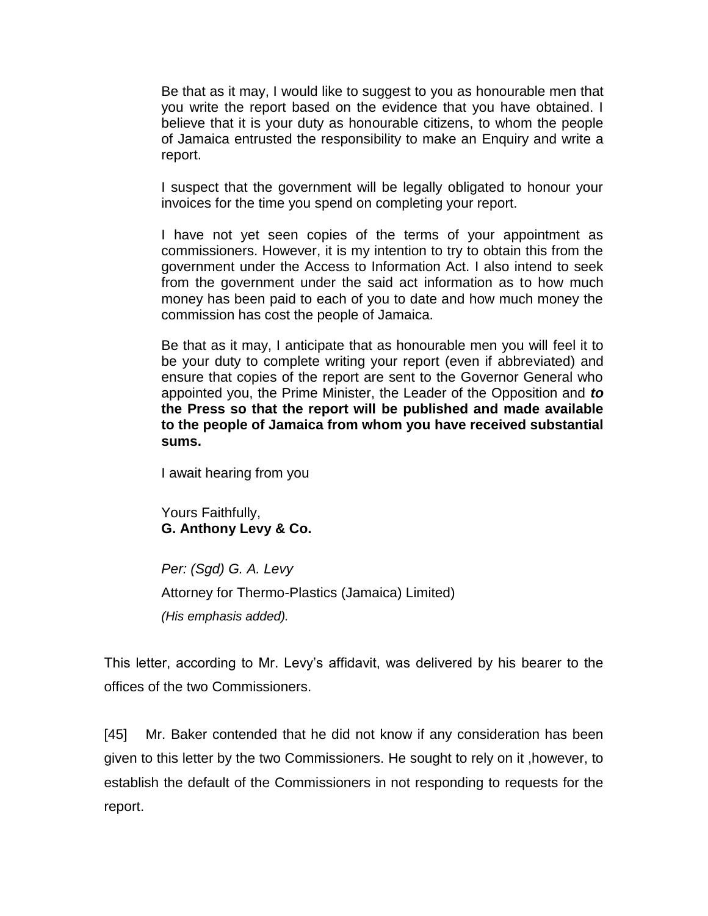Be that as it may, I would like to suggest to you as honourable men that you write the report based on the evidence that you have obtained. I believe that it is your duty as honourable citizens, to whom the people of Jamaica entrusted the responsibility to make an Enquiry and write a report.

I suspect that the government will be legally obligated to honour your invoices for the time you spend on completing your report.

I have not yet seen copies of the terms of your appointment as commissioners. However, it is my intention to try to obtain this from the government under the Access to Information Act. I also intend to seek from the government under the said act information as to how much money has been paid to each of you to date and how much money the commission has cost the people of Jamaica.

Be that as it may, I anticipate that as honourable men you will feel it to be your duty to complete writing your report (even if abbreviated) and ensure that copies of the report are sent to the Governor General who appointed you, the Prime Minister, the Leader of the Opposition and *to*  **the Press so that the report will be published and made available to the people of Jamaica from whom you have received substantial sums.**

I await hearing from you

Yours Faithfully, **G. Anthony Levy & Co.** 

*Per: (Sgd) G. A. Levy* Attorney for Thermo-Plastics (Jamaica) Limited) *(His emphasis added).*

This letter, according to Mr. Levy's affidavit, was delivered by his bearer to the offices of the two Commissioners.

[45] Mr. Baker contended that he did not know if any consideration has been given to this letter by the two Commissioners. He sought to rely on it ,however, to establish the default of the Commissioners in not responding to requests for the report.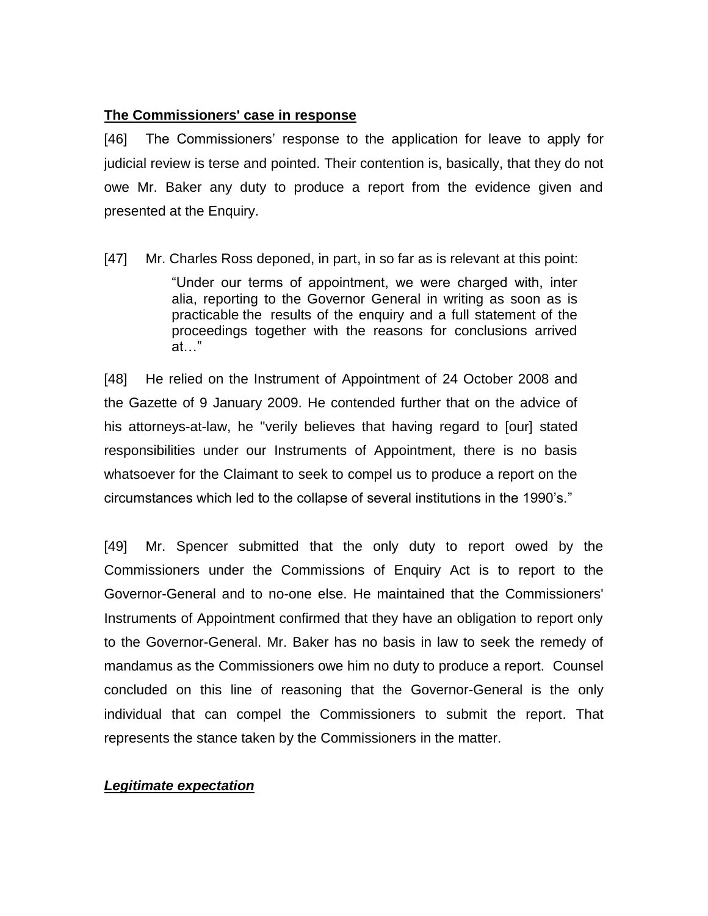## **The Commissioners' case in response**

[46] The Commissioners' response to the application for leave to apply for judicial review is terse and pointed. Their contention is, basically, that they do not owe Mr. Baker any duty to produce a report from the evidence given and presented at the Enquiry.

[47] Mr. Charles Ross deponed, in part, in so far as is relevant at this point:

"Under our terms of appointment, we were charged with, inter alia, reporting to the Governor General in writing as soon as is practicable the results of the enquiry and a full statement of the proceedings together with the reasons for conclusions arrived at…"

[48] He relied on the Instrument of Appointment of 24 October 2008 and the Gazette of 9 January 2009. He contended further that on the advice of his attorneys-at-law, he "verily believes that having regard to [our] stated responsibilities under our Instruments of Appointment, there is no basis whatsoever for the Claimant to seek to compel us to produce a report on the circumstances which led to the collapse of several institutions in the 1990's."

[49] Mr. Spencer submitted that the only duty to report owed by the Commissioners under the Commissions of Enquiry Act is to report to the Governor-General and to no-one else. He maintained that the Commissioners' Instruments of Appointment confirmed that they have an obligation to report only to the Governor-General. Mr. Baker has no basis in law to seek the remedy of mandamus as the Commissioners owe him no duty to produce a report. Counsel concluded on this line of reasoning that the Governor-General is the only individual that can compel the Commissioners to submit the report. That represents the stance taken by the Commissioners in the matter.

## *Legitimate expectation*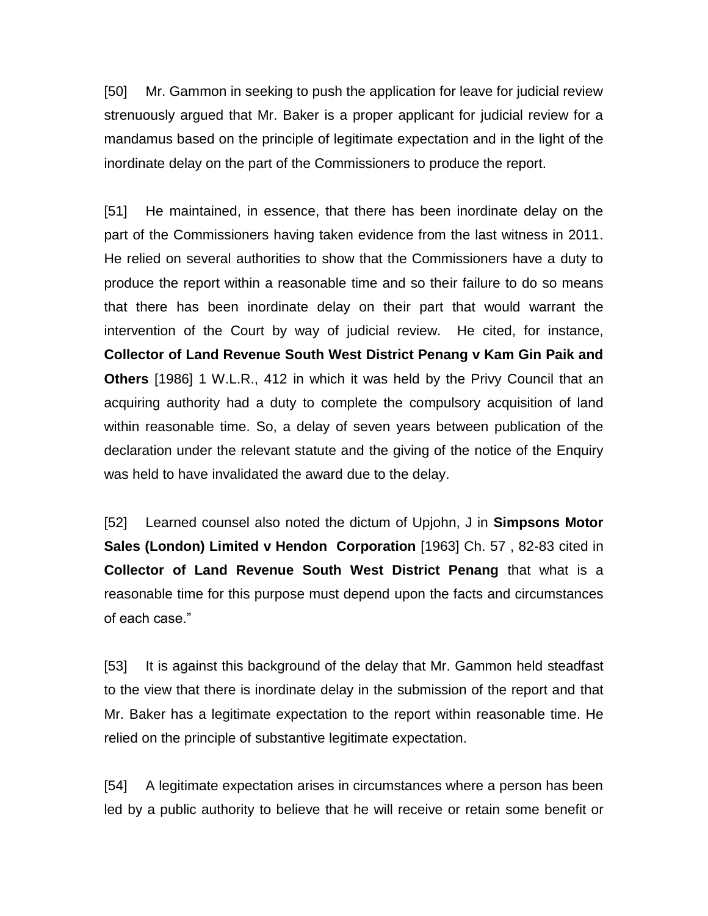[50] Mr. Gammon in seeking to push the application for leave for judicial review strenuously argued that Mr. Baker is a proper applicant for judicial review for a mandamus based on the principle of legitimate expectation and in the light of the inordinate delay on the part of the Commissioners to produce the report.

[51] He maintained, in essence, that there has been inordinate delay on the part of the Commissioners having taken evidence from the last witness in 2011. He relied on several authorities to show that the Commissioners have a duty to produce the report within a reasonable time and so their failure to do so means that there has been inordinate delay on their part that would warrant the intervention of the Court by way of judicial review. He cited, for instance, **Collector of Land Revenue South West District Penang v Kam Gin Paik and Others** [1986] 1 W.L.R., 412 in which it was held by the Privy Council that an acquiring authority had a duty to complete the compulsory acquisition of land within reasonable time. So, a delay of seven years between publication of the declaration under the relevant statute and the giving of the notice of the Enquiry was held to have invalidated the award due to the delay.

[52] Learned counsel also noted the dictum of Upjohn, J in **Simpsons Motor Sales (London) Limited v Hendon Corporation** [1963] Ch. 57 , 82-83 cited in **Collector of Land Revenue South West District Penang** that what is a reasonable time for this purpose must depend upon the facts and circumstances of each case."

[53] It is against this background of the delay that Mr. Gammon held steadfast to the view that there is inordinate delay in the submission of the report and that Mr. Baker has a legitimate expectation to the report within reasonable time. He relied on the principle of substantive legitimate expectation.

[54] A legitimate expectation arises in circumstances where a person has been led by a public authority to believe that he will receive or retain some benefit or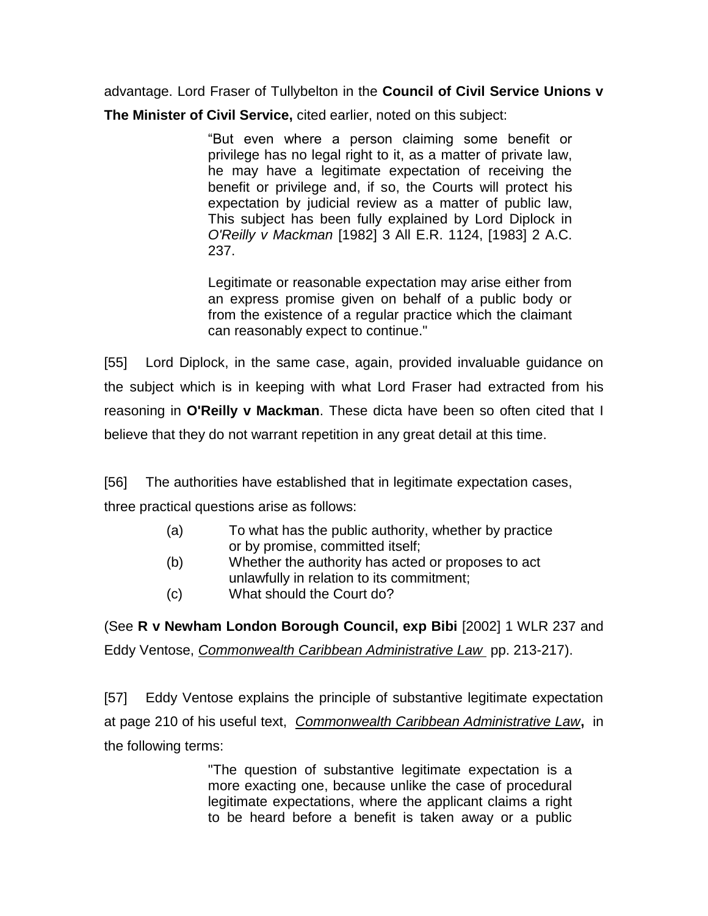advantage. Lord Fraser of Tullybelton in the **Council of Civil Service Unions v** 

**The Minister of Civil Service,** cited earlier, noted on this subject:

"But even where a person claiming some benefit or privilege has no legal right to it, as a matter of private law, he may have a legitimate expectation of receiving the benefit or privilege and, if so, the Courts will protect his expectation by judicial review as a matter of public law, This subject has been fully explained by Lord Diplock in *O'Reilly v Mackman* [1982] 3 All E.R. 1124, [1983] 2 A.C. 237.

Legitimate or reasonable expectation may arise either from an express promise given on behalf of a public body or from the existence of a regular practice which the claimant can reasonably expect to continue."

[55] Lord Diplock, in the same case, again, provided invaluable guidance on the subject which is in keeping with what Lord Fraser had extracted from his reasoning in **O'Reilly v Mackman**. These dicta have been so often cited that I believe that they do not warrant repetition in any great detail at this time.

[56] The authorities have established that in legitimate expectation cases, three practical questions arise as follows:

- (a) To what has the public authority, whether by practice or by promise, committed itself;
- (b) Whether the authority has acted or proposes to act unlawfully in relation to its commitment;
- (c) What should the Court do?

(See **R v Newham London Borough Council, exp Bibi** [2002] 1 WLR 237 and Eddy Ventose, *Commonwealth Caribbean Administrative Law* pp. 213-217).

[57] Eddy Ventose explains the principle of substantive legitimate expectation at page 210 of his useful text, *Commonwealth Caribbean Administrative Law***,** in the following terms:

> "The question of substantive legitimate expectation is a more exacting one, because unlike the case of procedural legitimate expectations, where the applicant claims a right to be heard before a benefit is taken away or a public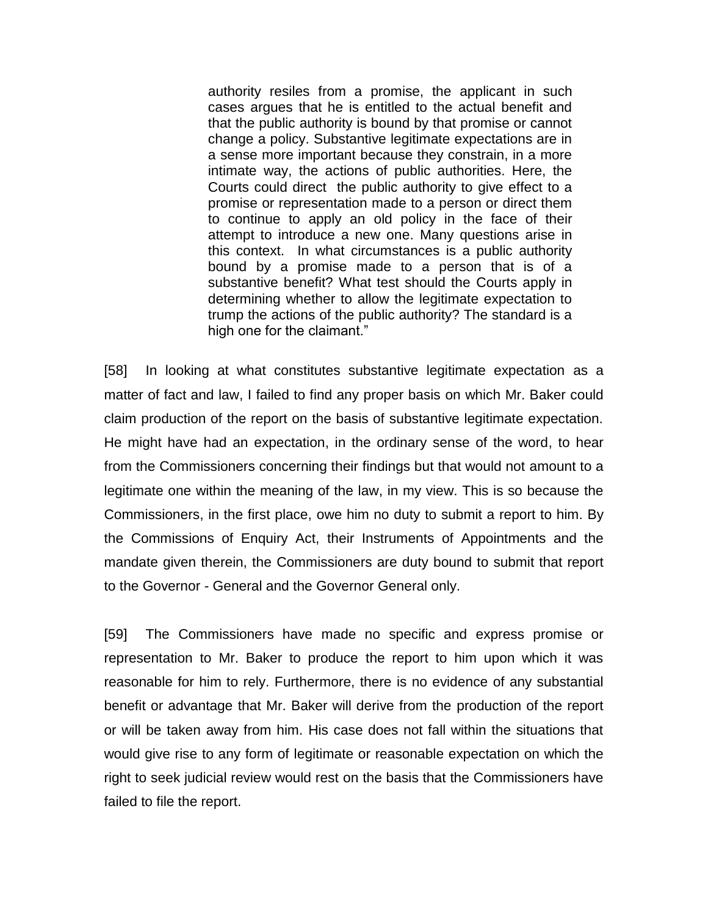authority resiles from a promise, the applicant in such cases argues that he is entitled to the actual benefit and that the public authority is bound by that promise or cannot change a policy. Substantive legitimate expectations are in a sense more important because they constrain, in a more intimate way, the actions of public authorities. Here, the Courts could direct the public authority to give effect to a promise or representation made to a person or direct them to continue to apply an old policy in the face of their attempt to introduce a new one. Many questions arise in this context. In what circumstances is a public authority bound by a promise made to a person that is of a substantive benefit? What test should the Courts apply in determining whether to allow the legitimate expectation to trump the actions of the public authority? The standard is a high one for the claimant."

[58] In looking at what constitutes substantive legitimate expectation as a matter of fact and law, I failed to find any proper basis on which Mr. Baker could claim production of the report on the basis of substantive legitimate expectation. He might have had an expectation, in the ordinary sense of the word, to hear from the Commissioners concerning their findings but that would not amount to a legitimate one within the meaning of the law, in my view. This is so because the Commissioners, in the first place, owe him no duty to submit a report to him. By the Commissions of Enquiry Act, their Instruments of Appointments and the mandate given therein, the Commissioners are duty bound to submit that report to the Governor - General and the Governor General only.

[59] The Commissioners have made no specific and express promise or representation to Mr. Baker to produce the report to him upon which it was reasonable for him to rely. Furthermore, there is no evidence of any substantial benefit or advantage that Mr. Baker will derive from the production of the report or will be taken away from him. His case does not fall within the situations that would give rise to any form of legitimate or reasonable expectation on which the right to seek judicial review would rest on the basis that the Commissioners have failed to file the report.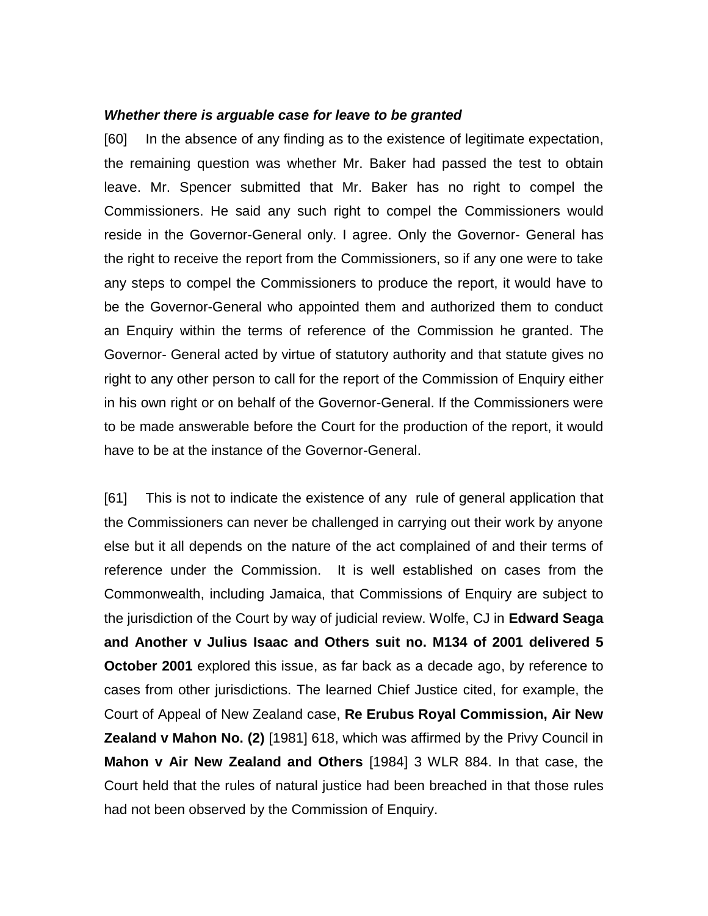#### *Whether there is arguable case for leave to be granted*

[60] In the absence of any finding as to the existence of legitimate expectation, the remaining question was whether Mr. Baker had passed the test to obtain leave. Mr. Spencer submitted that Mr. Baker has no right to compel the Commissioners. He said any such right to compel the Commissioners would reside in the Governor-General only. I agree. Only the Governor- General has the right to receive the report from the Commissioners, so if any one were to take any steps to compel the Commissioners to produce the report, it would have to be the Governor-General who appointed them and authorized them to conduct an Enquiry within the terms of reference of the Commission he granted. The Governor- General acted by virtue of statutory authority and that statute gives no right to any other person to call for the report of the Commission of Enquiry either in his own right or on behalf of the Governor-General. If the Commissioners were to be made answerable before the Court for the production of the report, it would have to be at the instance of the Governor-General.

[61] This is not to indicate the existence of any rule of general application that the Commissioners can never be challenged in carrying out their work by anyone else but it all depends on the nature of the act complained of and their terms of reference under the Commission. It is well established on cases from the Commonwealth, including Jamaica, that Commissions of Enquiry are subject to the jurisdiction of the Court by way of judicial review. Wolfe, CJ in **Edward Seaga and Another v Julius Isaac and Others suit no. M134 of 2001 delivered 5 October 2001** explored this issue, as far back as a decade ago, by reference to cases from other jurisdictions. The learned Chief Justice cited, for example, the Court of Appeal of New Zealand case, **Re Erubus Royal Commission, Air New Zealand v Mahon No. (2)** [1981] 618, which was affirmed by the Privy Council in **Mahon v Air New Zealand and Others** [1984] 3 WLR 884. In that case, the Court held that the rules of natural justice had been breached in that those rules had not been observed by the Commission of Enquiry.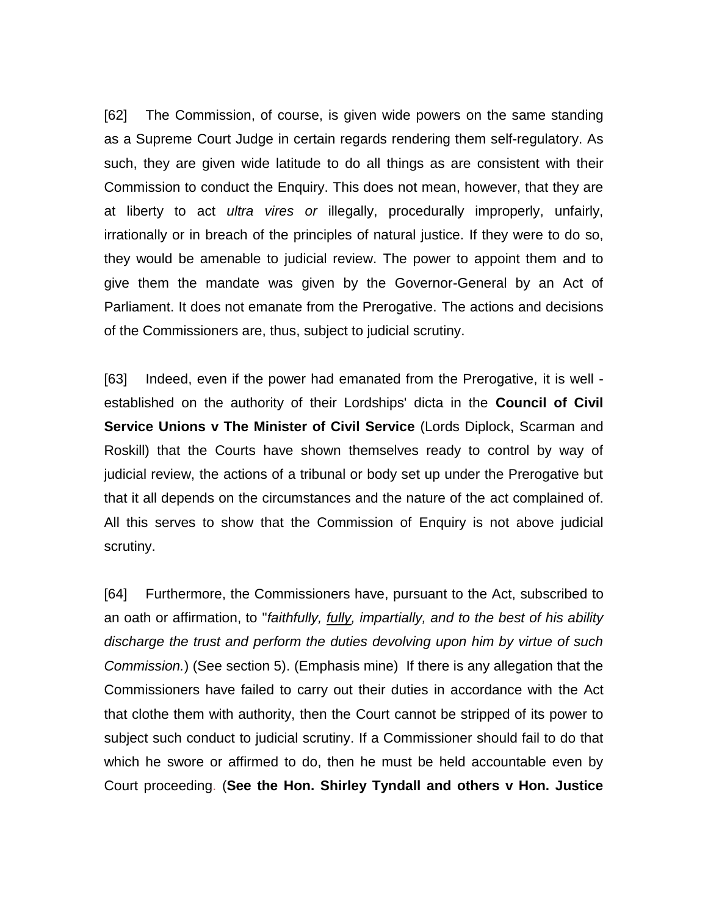[62] The Commission, of course, is given wide powers on the same standing as a Supreme Court Judge in certain regards rendering them self-regulatory. As such, they are given wide latitude to do all things as are consistent with their Commission to conduct the Enquiry. This does not mean, however, that they are at liberty to act *ultra vires or* illegally, procedurally improperly, unfairly, irrationally or in breach of the principles of natural justice. If they were to do so, they would be amenable to judicial review. The power to appoint them and to give them the mandate was given by the Governor-General by an Act of Parliament. It does not emanate from the Prerogative. The actions and decisions of the Commissioners are, thus, subject to judicial scrutiny.

[63] Indeed, even if the power had emanated from the Prerogative, it is well established on the authority of their Lordships' dicta in the **Council of Civil Service Unions v The Minister of Civil Service** (Lords Diplock, Scarman and Roskill) that the Courts have shown themselves ready to control by way of judicial review, the actions of a tribunal or body set up under the Prerogative but that it all depends on the circumstances and the nature of the act complained of. All this serves to show that the Commission of Enquiry is not above judicial scrutiny.

[64] Furthermore, the Commissioners have, pursuant to the Act, subscribed to an oath or affirmation, to "*faithfully, fully, impartially, and to the best of his ability discharge the trust and perform the duties devolving upon him by virtue of such Commission.*) (See section 5). (Emphasis mine) If there is any allegation that the Commissioners have failed to carry out their duties in accordance with the Act that clothe them with authority, then the Court cannot be stripped of its power to subject such conduct to judicial scrutiny. If a Commissioner should fail to do that which he swore or affirmed to do, then he must be held accountable even by Court proceeding. (**See the Hon. Shirley Tyndall and others v Hon. Justice**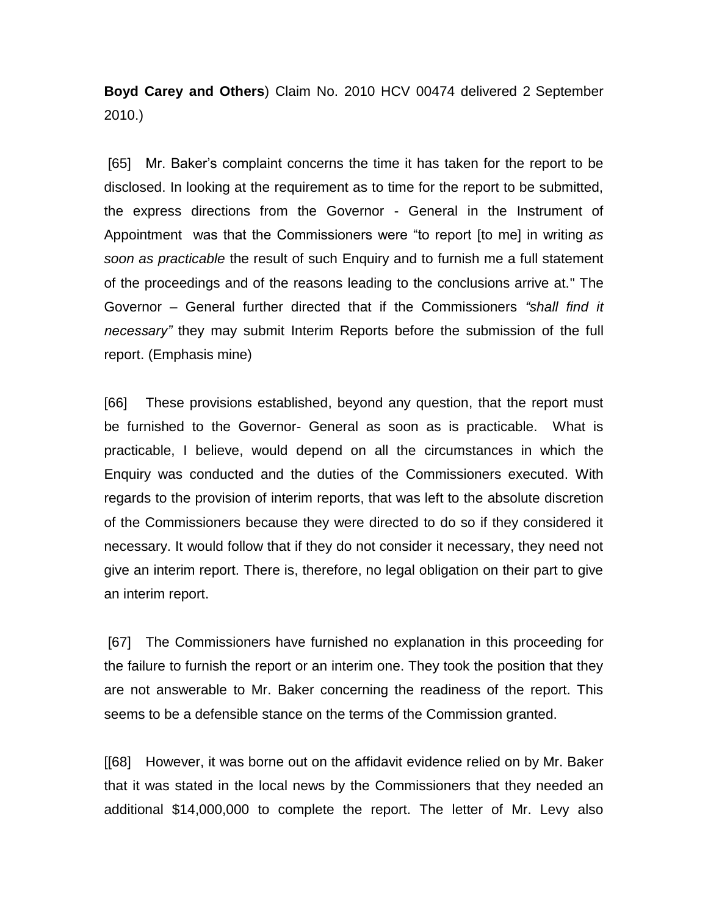**Boyd Carey and Others**) Claim No. 2010 HCV 00474 delivered 2 September 2010.)

[65] Mr. Baker's complaint concerns the time it has taken for the report to be disclosed. In looking at the requirement as to time for the report to be submitted, the express directions from the Governor - General in the Instrument of Appointment was that the Commissioners were "to report [to me] in writing *as soon as practicable* the result of such Enquiry and to furnish me a full statement of the proceedings and of the reasons leading to the conclusions arrive at." The Governor – General further directed that if the Commissioners *"shall find it necessary"* they may submit Interim Reports before the submission of the full report. (Emphasis mine)

[66] These provisions established, beyond any question, that the report must be furnished to the Governor- General as soon as is practicable. What is practicable, I believe, would depend on all the circumstances in which the Enquiry was conducted and the duties of the Commissioners executed. With regards to the provision of interim reports, that was left to the absolute discretion of the Commissioners because they were directed to do so if they considered it necessary. It would follow that if they do not consider it necessary, they need not give an interim report. There is, therefore, no legal obligation on their part to give an interim report.

[67] The Commissioners have furnished no explanation in this proceeding for the failure to furnish the report or an interim one. They took the position that they are not answerable to Mr. Baker concerning the readiness of the report. This seems to be a defensible stance on the terms of the Commission granted.

[[68] However, it was borne out on the affidavit evidence relied on by Mr. Baker that it was stated in the local news by the Commissioners that they needed an additional \$14,000,000 to complete the report. The letter of Mr. Levy also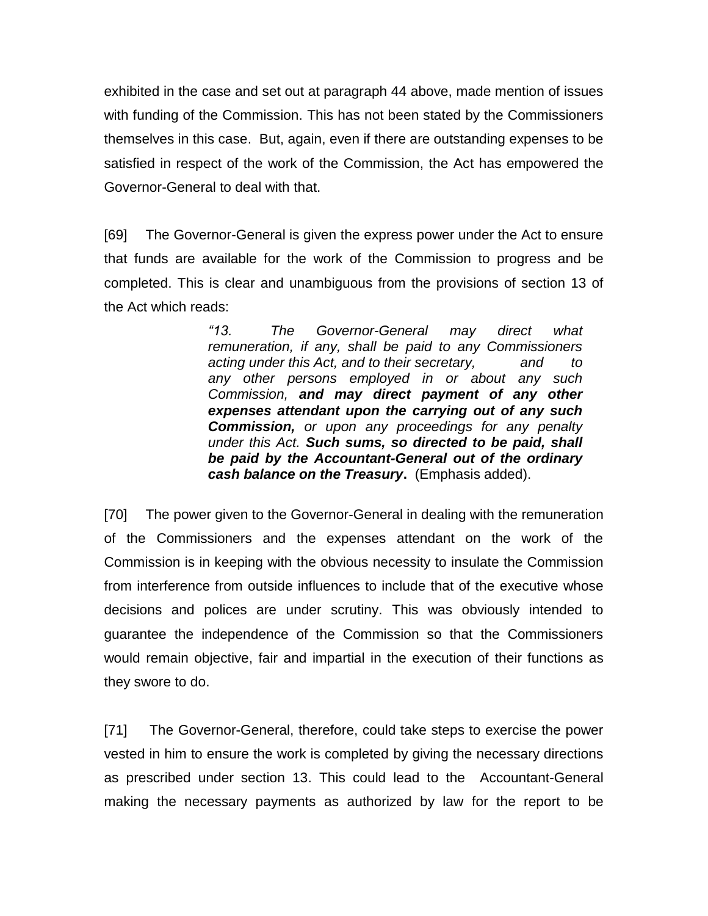exhibited in the case and set out at paragraph 44 above, made mention of issues with funding of the Commission. This has not been stated by the Commissioners themselves in this case. But, again, even if there are outstanding expenses to be satisfied in respect of the work of the Commission, the Act has empowered the Governor-General to deal with that.

[69] The Governor-General is given the express power under the Act to ensure that funds are available for the work of the Commission to progress and be completed. This is clear and unambiguous from the provisions of section 13 of the Act which reads:

> *"13. The Governor-General may direct what remuneration, if any, shall be paid to any Commissioners acting under this Act, and to their secretary, and to any other persons employed in or about any such Commission, and may direct payment of any other expenses attendant upon the carrying out of any such Commission, or upon any proceedings for any penalty under this Act. Such sums, so directed to be paid, shall be paid by the Accountant-General out of the ordinary cash balance on the Treasury***.** (Emphasis added).

[70] The power given to the Governor-General in dealing with the remuneration of the Commissioners and the expenses attendant on the work of the Commission is in keeping with the obvious necessity to insulate the Commission from interference from outside influences to include that of the executive whose decisions and polices are under scrutiny. This was obviously intended to guarantee the independence of the Commission so that the Commissioners would remain objective, fair and impartial in the execution of their functions as they swore to do.

[71] The Governor-General, therefore, could take steps to exercise the power vested in him to ensure the work is completed by giving the necessary directions as prescribed under section 13. This could lead to the Accountant-General making the necessary payments as authorized by law for the report to be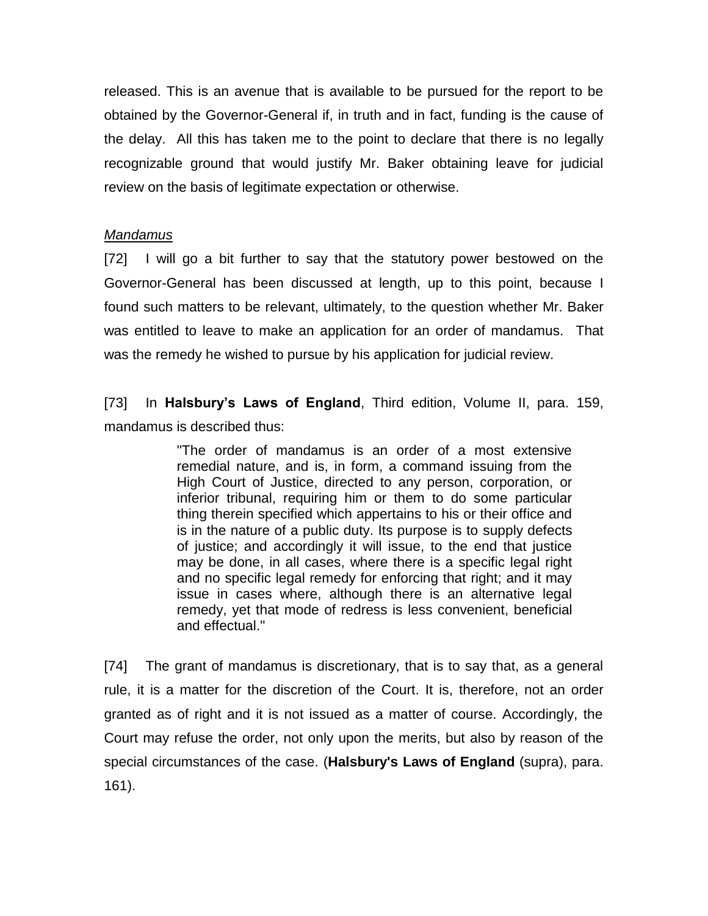released. This is an avenue that is available to be pursued for the report to be obtained by the Governor-General if, in truth and in fact, funding is the cause of the delay. All this has taken me to the point to declare that there is no legally recognizable ground that would justify Mr. Baker obtaining leave for judicial review on the basis of legitimate expectation or otherwise.

# *Mandamus*

[72] I will go a bit further to say that the statutory power bestowed on the Governor-General has been discussed at length, up to this point, because I found such matters to be relevant, ultimately, to the question whether Mr. Baker was entitled to leave to make an application for an order of mandamus. That was the remedy he wished to pursue by his application for judicial review.

[73] In **Halsbury's Laws of England**, Third edition, Volume II, para. 159, mandamus is described thus:

> "The order of mandamus is an order of a most extensive remedial nature, and is, in form, a command issuing from the High Court of Justice, directed to any person, corporation, or inferior tribunal, requiring him or them to do some particular thing therein specified which appertains to his or their office and is in the nature of a public duty. Its purpose is to supply defects of justice; and accordingly it will issue, to the end that justice may be done, in all cases, where there is a specific legal right and no specific legal remedy for enforcing that right; and it may issue in cases where, although there is an alternative legal remedy, yet that mode of redress is less convenient, beneficial and effectual."

[74] The grant of mandamus is discretionary, that is to say that, as a general rule, it is a matter for the discretion of the Court. It is, therefore, not an order granted as of right and it is not issued as a matter of course. Accordingly, the Court may refuse the order, not only upon the merits, but also by reason of the special circumstances of the case. (**Halsbury's Laws of England** (supra), para. 161).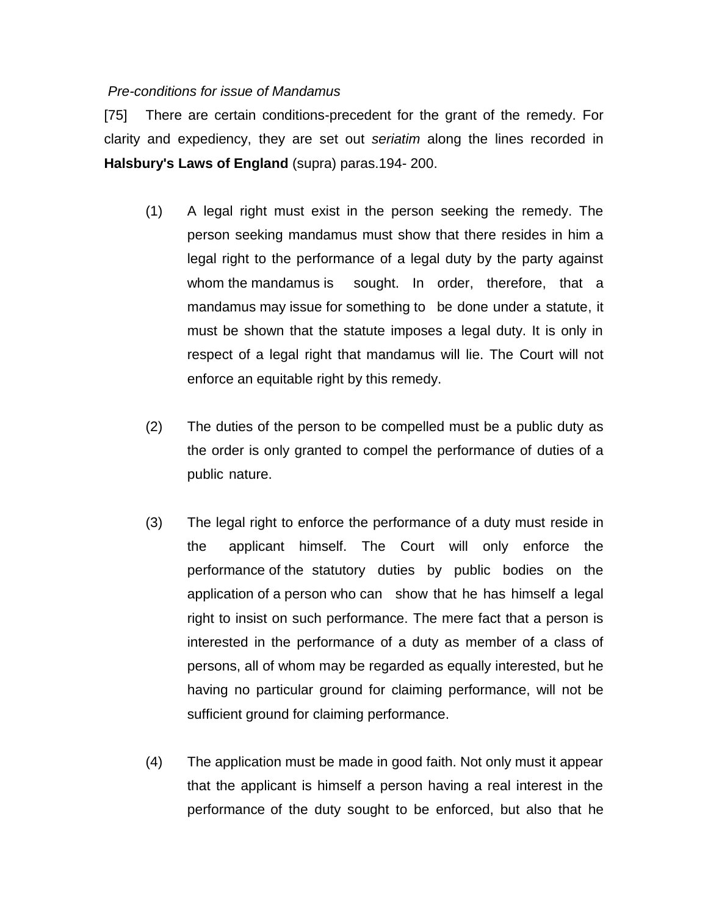#### *Pre-conditions for issue of Mandamus*

[75] There are certain conditions-precedent for the grant of the remedy. For clarity and expediency, they are set out *seriatim* along the lines recorded in **Halsbury's Laws of England** (supra) paras.194- 200.

- (1) A legal right must exist in the person seeking the remedy. The person seeking mandamus must show that there resides in him a legal right to the performance of a legal duty by the party against whom the mandamus is sought. In order, therefore, that a mandamus may issue for something to be done under a statute, it must be shown that the statute imposes a legal duty. It is only in respect of a legal right that mandamus will lie. The Court will not enforce an equitable right by this remedy.
- (2) The duties of the person to be compelled must be a public duty as the order is only granted to compel the performance of duties of a public nature.
- (3) The legal right to enforce the performance of a duty must reside in the applicant himself. The Court will only enforce the performance of the statutory duties by public bodies on the application of a person who can show that he has himself a legal right to insist on such performance. The mere fact that a person is interested in the performance of a duty as member of a class of persons, all of whom may be regarded as equally interested, but he having no particular ground for claiming performance, will not be sufficient ground for claiming performance.
- (4) The application must be made in good faith. Not only must it appear that the applicant is himself a person having a real interest in the performance of the duty sought to be enforced, but also that he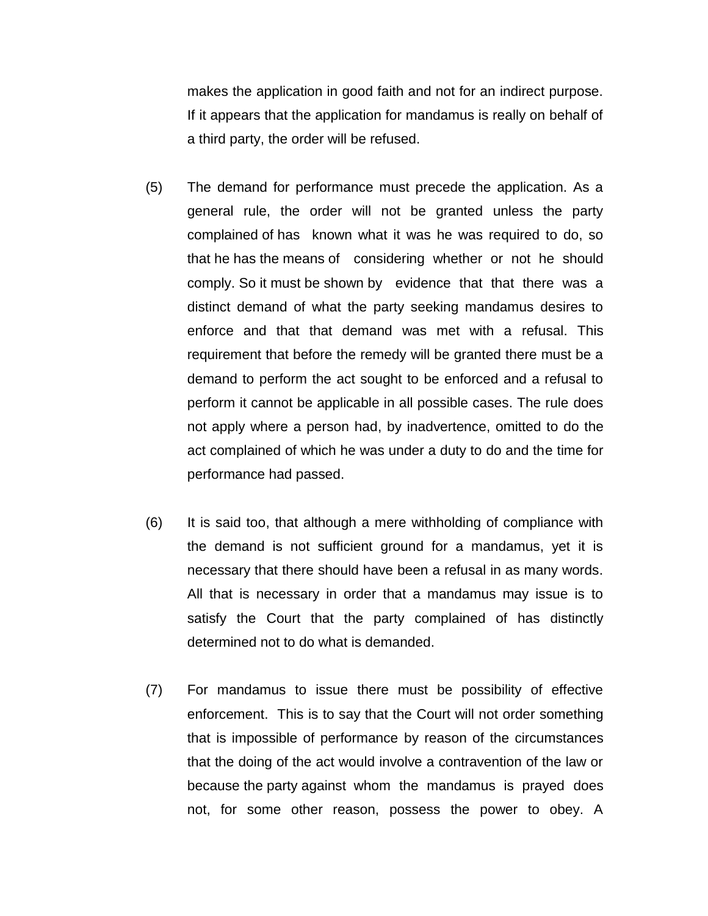makes the application in good faith and not for an indirect purpose. If it appears that the application for mandamus is really on behalf of a third party, the order will be refused.

- (5) The demand for performance must precede the application. As a general rule, the order will not be granted unless the party complained of has known what it was he was required to do, so that he has the means of considering whether or not he should comply. So it must be shown by evidence that that there was a distinct demand of what the party seeking mandamus desires to enforce and that that demand was met with a refusal. This requirement that before the remedy will be granted there must be a demand to perform the act sought to be enforced and a refusal to perform it cannot be applicable in all possible cases. The rule does not apply where a person had, by inadvertence, omitted to do the act complained of which he was under a duty to do and the time for performance had passed.
- (6) It is said too, that although a mere withholding of compliance with the demand is not sufficient ground for a mandamus, yet it is necessary that there should have been a refusal in as many words. All that is necessary in order that a mandamus may issue is to satisfy the Court that the party complained of has distinctly determined not to do what is demanded.
- (7) For mandamus to issue there must be possibility of effective enforcement. This is to say that the Court will not order something that is impossible of performance by reason of the circumstances that the doing of the act would involve a contravention of the law or because the party against whom the mandamus is prayed does not, for some other reason, possess the power to obey. A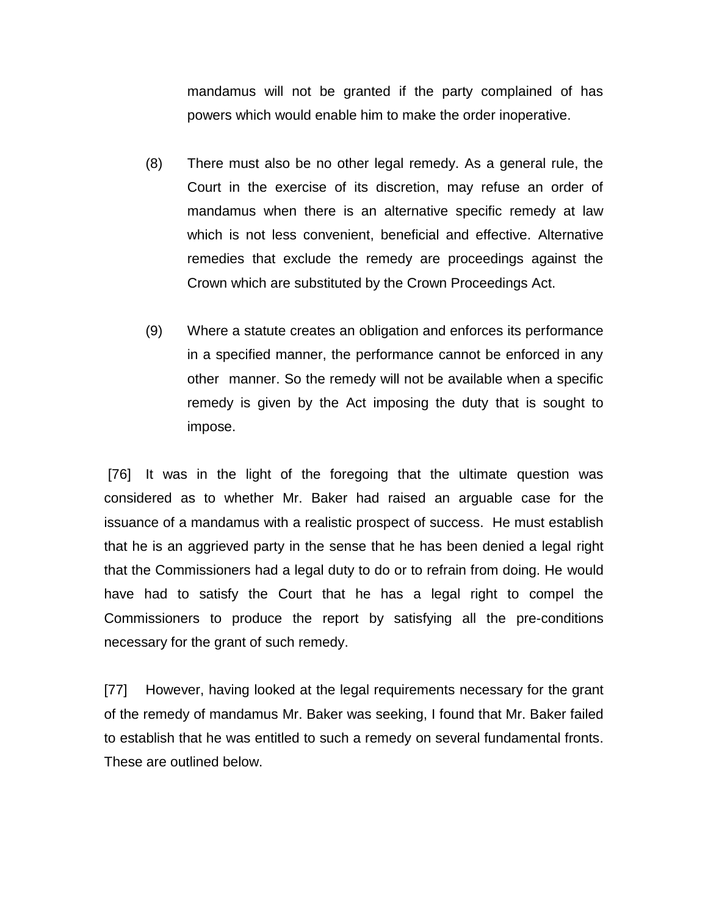mandamus will not be granted if the party complained of has powers which would enable him to make the order inoperative.

- (8) There must also be no other legal remedy. As a general rule, the Court in the exercise of its discretion, may refuse an order of mandamus when there is an alternative specific remedy at law which is not less convenient, beneficial and effective. Alternative remedies that exclude the remedy are proceedings against the Crown which are substituted by the Crown Proceedings Act.
- (9) Where a statute creates an obligation and enforces its performance in a specified manner, the performance cannot be enforced in any other manner. So the remedy will not be available when a specific remedy is given by the Act imposing the duty that is sought to impose.

[76] It was in the light of the foregoing that the ultimate question was considered as to whether Mr. Baker had raised an arguable case for the issuance of a mandamus with a realistic prospect of success. He must establish that he is an aggrieved party in the sense that he has been denied a legal right that the Commissioners had a legal duty to do or to refrain from doing. He would have had to satisfy the Court that he has a legal right to compel the Commissioners to produce the report by satisfying all the pre-conditions necessary for the grant of such remedy.

[77] However, having looked at the legal requirements necessary for the grant of the remedy of mandamus Mr. Baker was seeking, I found that Mr. Baker failed to establish that he was entitled to such a remedy on several fundamental fronts. These are outlined below.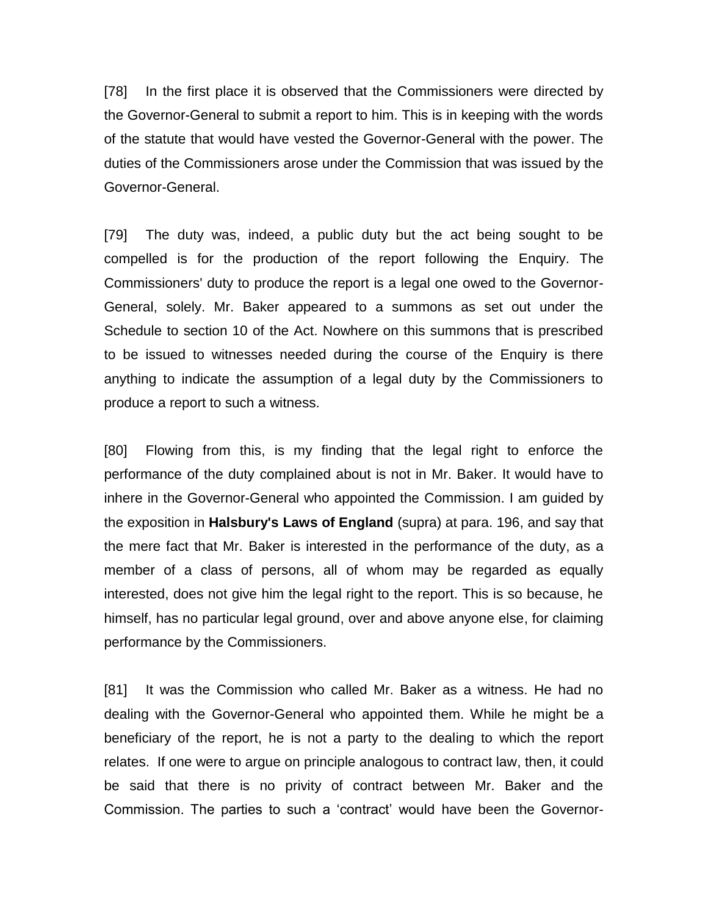[78] In the first place it is observed that the Commissioners were directed by the Governor-General to submit a report to him. This is in keeping with the words of the statute that would have vested the Governor-General with the power. The duties of the Commissioners arose under the Commission that was issued by the Governor-General.

[79] The duty was, indeed, a public duty but the act being sought to be compelled is for the production of the report following the Enquiry. The Commissioners' duty to produce the report is a legal one owed to the Governor-General, solely. Mr. Baker appeared to a summons as set out under the Schedule to section 10 of the Act. Nowhere on this summons that is prescribed to be issued to witnesses needed during the course of the Enquiry is there anything to indicate the assumption of a legal duty by the Commissioners to produce a report to such a witness.

[80] Flowing from this, is my finding that the legal right to enforce the performance of the duty complained about is not in Mr. Baker. It would have to inhere in the Governor-General who appointed the Commission. I am guided by the exposition in **Halsbury's Laws of England** (supra) at para. 196, and say that the mere fact that Mr. Baker is interested in the performance of the duty, as a member of a class of persons, all of whom may be regarded as equally interested, does not give him the legal right to the report. This is so because, he himself, has no particular legal ground, over and above anyone else, for claiming performance by the Commissioners.

[81] It was the Commission who called Mr. Baker as a witness. He had no dealing with the Governor-General who appointed them. While he might be a beneficiary of the report, he is not a party to the dealing to which the report relates. If one were to argue on principle analogous to contract law, then, it could be said that there is no privity of contract between Mr. Baker and the Commission. The parties to such a 'contract' would have been the Governor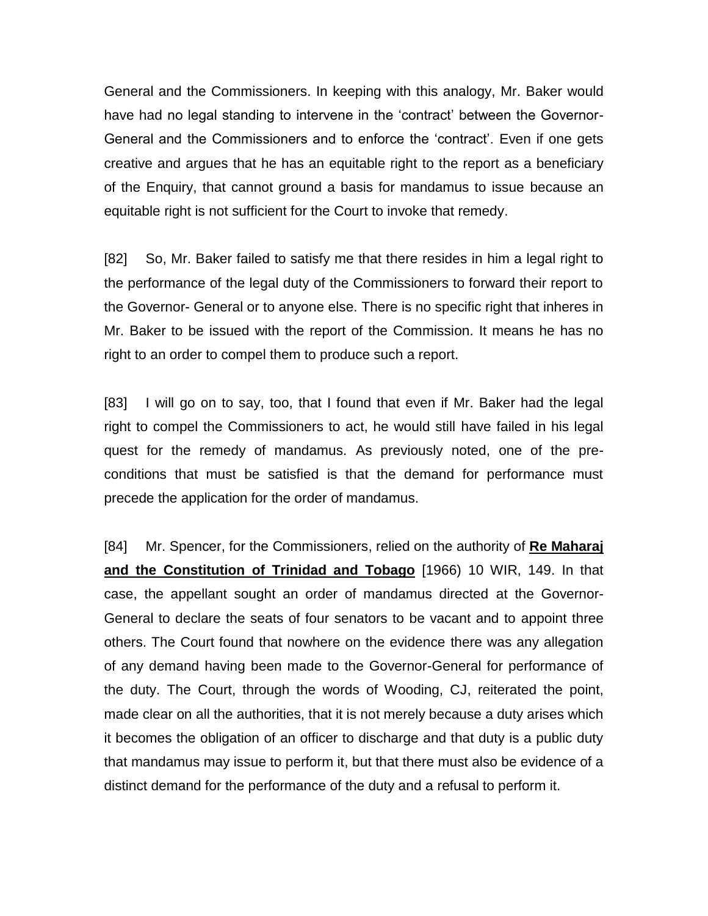General and the Commissioners. In keeping with this analogy, Mr. Baker would have had no legal standing to intervene in the 'contract' between the Governor-General and the Commissioners and to enforce the 'contract'. Even if one gets creative and argues that he has an equitable right to the report as a beneficiary of the Enquiry, that cannot ground a basis for mandamus to issue because an equitable right is not sufficient for the Court to invoke that remedy.

[82] So, Mr. Baker failed to satisfy me that there resides in him a legal right to the performance of the legal duty of the Commissioners to forward their report to the Governor- General or to anyone else. There is no specific right that inheres in Mr. Baker to be issued with the report of the Commission. It means he has no right to an order to compel them to produce such a report.

[83] I will go on to say, too, that I found that even if Mr. Baker had the legal right to compel the Commissioners to act, he would still have failed in his legal quest for the remedy of mandamus. As previously noted, one of the preconditions that must be satisfied is that the demand for performance must precede the application for the order of mandamus.

[84] Mr. Spencer, for the Commissioners, relied on the authority of **Re Maharaj and the Constitution of Trinidad and Tobago** [1966) 10 WIR, 149. In that case, the appellant sought an order of mandamus directed at the Governor-General to declare the seats of four senators to be vacant and to appoint three others. The Court found that nowhere on the evidence there was any allegation of any demand having been made to the Governor-General for performance of the duty. The Court, through the words of Wooding, CJ, reiterated the point, made clear on all the authorities, that it is not merely because a duty arises which it becomes the obligation of an officer to discharge and that duty is a public duty that mandamus may issue to perform it, but that there must also be evidence of a distinct demand for the performance of the duty and a refusal to perform it.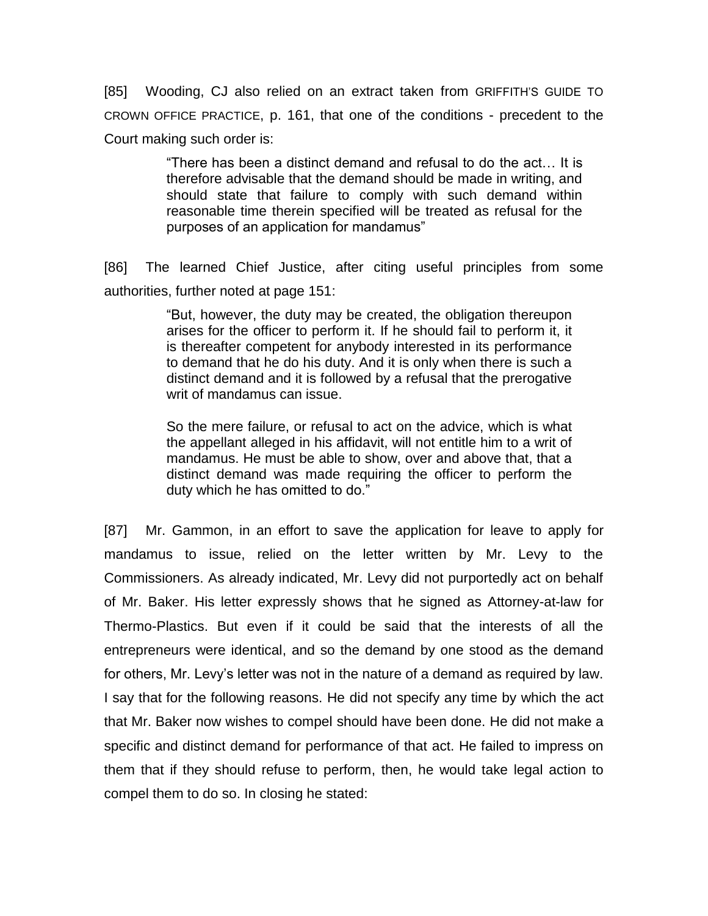[85] Wooding, CJ also relied on an extract taken from GRIFFITH'S GUIDE TO CROWN OFFICE PRACTICE, p. 161, that one of the conditions - precedent to the Court making such order is:

> "There has been a distinct demand and refusal to do the act… It is therefore advisable that the demand should be made in writing, and should state that failure to comply with such demand within reasonable time therein specified will be treated as refusal for the purposes of an application for mandamus"

[86] The learned Chief Justice, after citing useful principles from some authorities, further noted at page 151:

> "But, however, the duty may be created, the obligation thereupon arises for the officer to perform it. If he should fail to perform it, it is thereafter competent for anybody interested in its performance to demand that he do his duty. And it is only when there is such a distinct demand and it is followed by a refusal that the prerogative writ of mandamus can issue.

> So the mere failure, or refusal to act on the advice, which is what the appellant alleged in his affidavit, will not entitle him to a writ of mandamus. He must be able to show, over and above that, that a distinct demand was made requiring the officer to perform the duty which he has omitted to do."

[87] Mr. Gammon, in an effort to save the application for leave to apply for mandamus to issue, relied on the letter written by Mr. Levy to the Commissioners. As already indicated, Mr. Levy did not purportedly act on behalf of Mr. Baker. His letter expressly shows that he signed as Attorney-at-law for Thermo-Plastics. But even if it could be said that the interests of all the entrepreneurs were identical, and so the demand by one stood as the demand for others, Mr. Levy's letter was not in the nature of a demand as required by law. I say that for the following reasons. He did not specify any time by which the act that Mr. Baker now wishes to compel should have been done. He did not make a specific and distinct demand for performance of that act. He failed to impress on them that if they should refuse to perform, then, he would take legal action to compel them to do so. In closing he stated: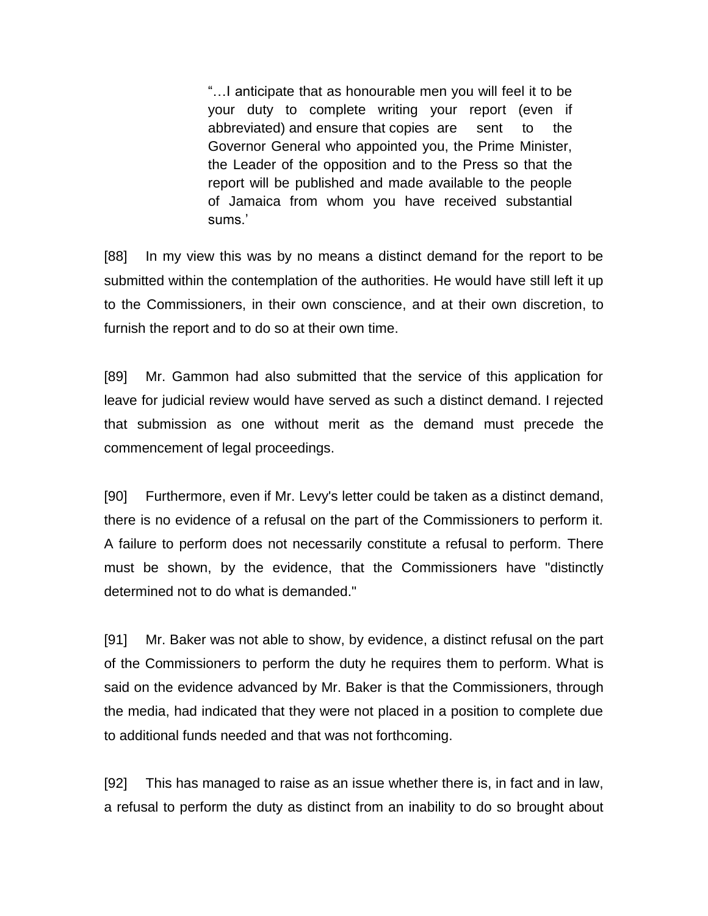"…I anticipate that as honourable men you will feel it to be your duty to complete writing your report (even if abbreviated) and ensure that copies are sent to the Governor General who appointed you, the Prime Minister, the Leader of the opposition and to the Press so that the report will be published and made available to the people of Jamaica from whom you have received substantial sums.'

[88] In my view this was by no means a distinct demand for the report to be submitted within the contemplation of the authorities. He would have still left it up to the Commissioners, in their own conscience, and at their own discretion, to furnish the report and to do so at their own time.

[89] Mr. Gammon had also submitted that the service of this application for leave for judicial review would have served as such a distinct demand. I rejected that submission as one without merit as the demand must precede the commencement of legal proceedings.

[90] Furthermore, even if Mr. Levy's letter could be taken as a distinct demand, there is no evidence of a refusal on the part of the Commissioners to perform it. A failure to perform does not necessarily constitute a refusal to perform. There must be shown, by the evidence, that the Commissioners have "distinctly determined not to do what is demanded."

[91] Mr. Baker was not able to show, by evidence, a distinct refusal on the part of the Commissioners to perform the duty he requires them to perform. What is said on the evidence advanced by Mr. Baker is that the Commissioners, through the media, had indicated that they were not placed in a position to complete due to additional funds needed and that was not forthcoming.

[92] This has managed to raise as an issue whether there is, in fact and in law, a refusal to perform the duty as distinct from an inability to do so brought about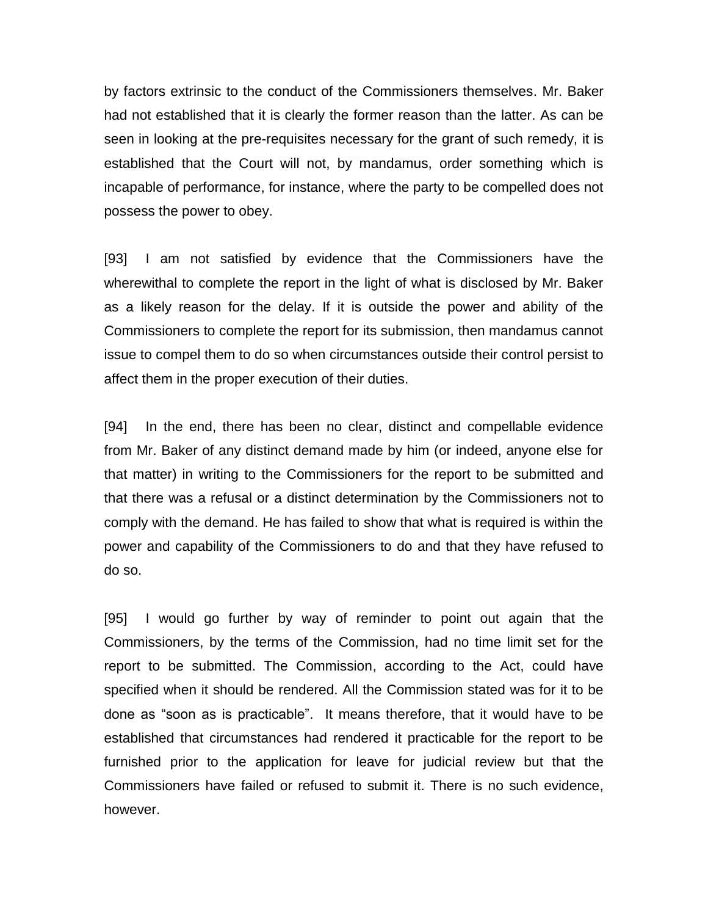by factors extrinsic to the conduct of the Commissioners themselves. Mr. Baker had not established that it is clearly the former reason than the latter. As can be seen in looking at the pre-requisites necessary for the grant of such remedy, it is established that the Court will not, by mandamus, order something which is incapable of performance, for instance, where the party to be compelled does not possess the power to obey.

[93] I am not satisfied by evidence that the Commissioners have the wherewithal to complete the report in the light of what is disclosed by Mr. Baker as a likely reason for the delay. If it is outside the power and ability of the Commissioners to complete the report for its submission, then mandamus cannot issue to compel them to do so when circumstances outside their control persist to affect them in the proper execution of their duties.

[94] In the end, there has been no clear, distinct and compellable evidence from Mr. Baker of any distinct demand made by him (or indeed, anyone else for that matter) in writing to the Commissioners for the report to be submitted and that there was a refusal or a distinct determination by the Commissioners not to comply with the demand. He has failed to show that what is required is within the power and capability of the Commissioners to do and that they have refused to do so.

[95] I would go further by way of reminder to point out again that the Commissioners, by the terms of the Commission, had no time limit set for the report to be submitted. The Commission, according to the Act, could have specified when it should be rendered. All the Commission stated was for it to be done as "soon as is practicable". It means therefore, that it would have to be established that circumstances had rendered it practicable for the report to be furnished prior to the application for leave for judicial review but that the Commissioners have failed or refused to submit it. There is no such evidence, however.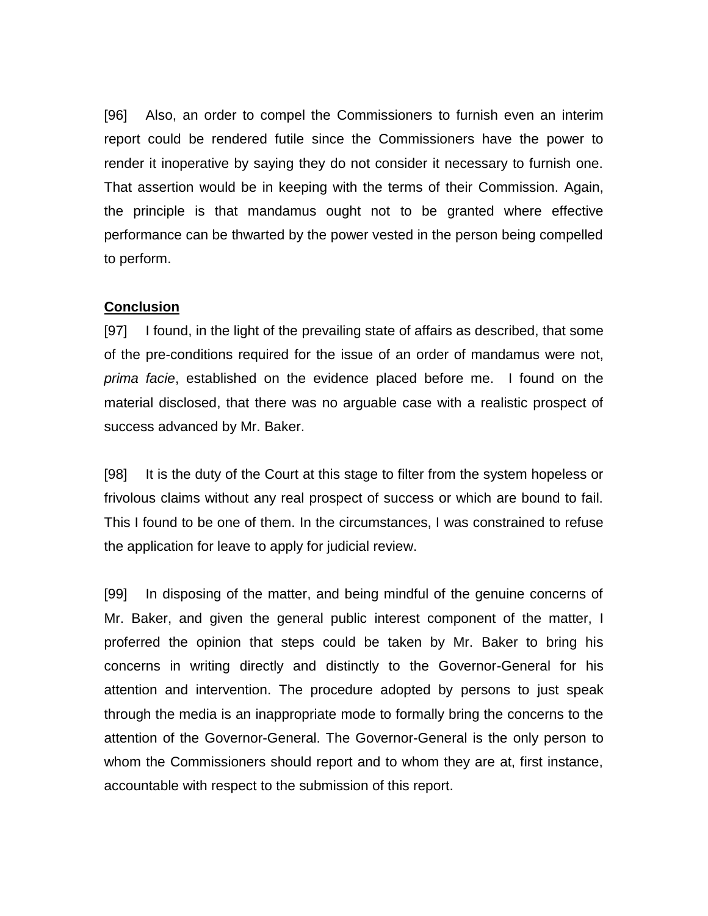[96] Also, an order to compel the Commissioners to furnish even an interim report could be rendered futile since the Commissioners have the power to render it inoperative by saying they do not consider it necessary to furnish one. That assertion would be in keeping with the terms of their Commission. Again, the principle is that mandamus ought not to be granted where effective performance can be thwarted by the power vested in the person being compelled to perform.

## **Conclusion**

[97] I found, in the light of the prevailing state of affairs as described, that some of the pre-conditions required for the issue of an order of mandamus were not, *prima facie*, established on the evidence placed before me. I found on the material disclosed, that there was no arguable case with a realistic prospect of success advanced by Mr. Baker.

[98] It is the duty of the Court at this stage to filter from the system hopeless or frivolous claims without any real prospect of success or which are bound to fail. This I found to be one of them. In the circumstances, I was constrained to refuse the application for leave to apply for judicial review.

[99] In disposing of the matter, and being mindful of the genuine concerns of Mr. Baker, and given the general public interest component of the matter, I proferred the opinion that steps could be taken by Mr. Baker to bring his concerns in writing directly and distinctly to the Governor-General for his attention and intervention. The procedure adopted by persons to just speak through the media is an inappropriate mode to formally bring the concerns to the attention of the Governor-General. The Governor-General is the only person to whom the Commissioners should report and to whom they are at, first instance, accountable with respect to the submission of this report.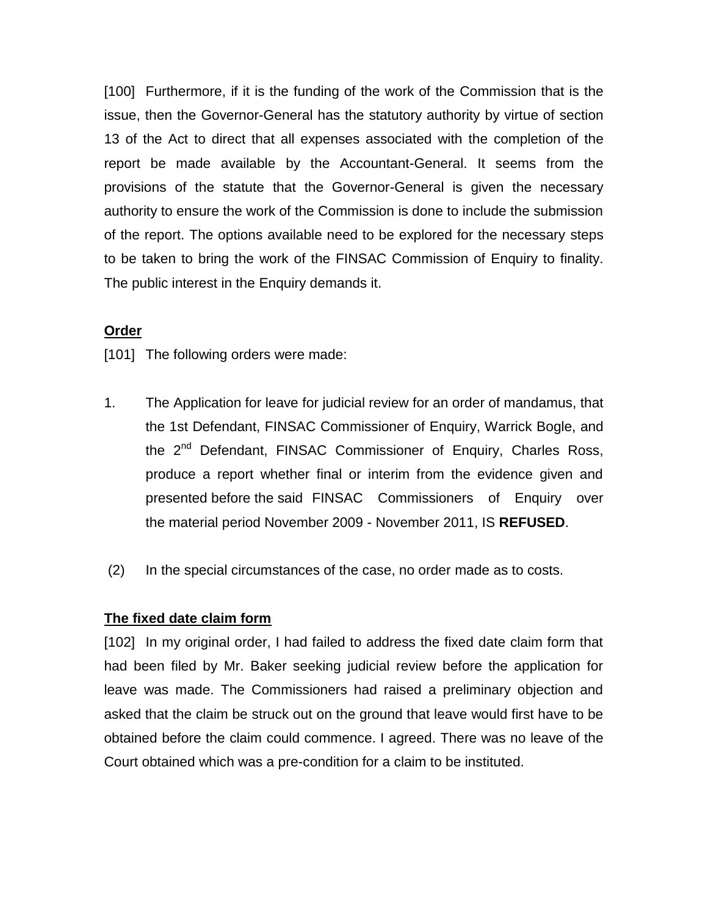[100] Furthermore, if it is the funding of the work of the Commission that is the issue, then the Governor-General has the statutory authority by virtue of section 13 of the Act to direct that all expenses associated with the completion of the report be made available by the Accountant-General. It seems from the provisions of the statute that the Governor-General is given the necessary authority to ensure the work of the Commission is done to include the submission of the report. The options available need to be explored for the necessary steps to be taken to bring the work of the FINSAC Commission of Enquiry to finality. The public interest in the Enquiry demands it.

#### **Order**

[101] The following orders were made:

- 1. The Application for leave for judicial review for an order of mandamus, that the 1st Defendant, FINSAC Commissioner of Enquiry, Warrick Bogle, and the 2<sup>nd</sup> Defendant, FINSAC Commissioner of Enquiry, Charles Ross, produce a report whether final or interim from the evidence given and presented before the said FINSAC Commissioners of Enquiry over the material period November 2009 - November 2011, IS **REFUSED**.
- (2) In the special circumstances of the case, no order made as to costs.

#### **The fixed date claim form**

[102] In my original order, I had failed to address the fixed date claim form that had been filed by Mr. Baker seeking judicial review before the application for leave was made. The Commissioners had raised a preliminary objection and asked that the claim be struck out on the ground that leave would first have to be obtained before the claim could commence. I agreed. There was no leave of the Court obtained which was a pre-condition for a claim to be instituted.